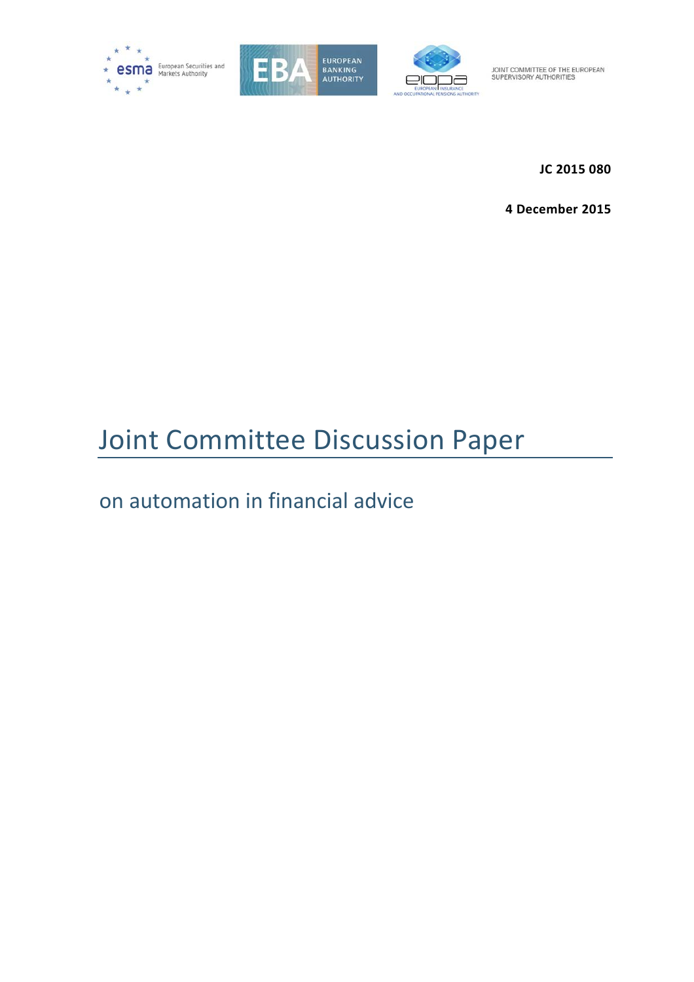





**JC 2015 080** 

**4 December 2015**

# Joint Committee Discussion Paper

# on automation in financial advice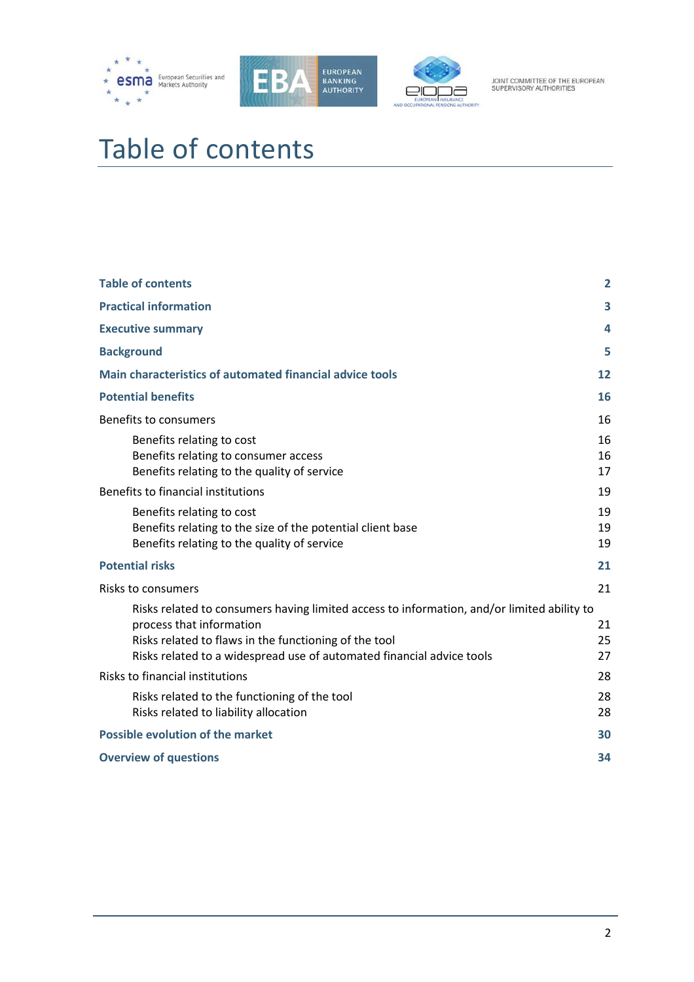





# <span id="page-1-0"></span>Table of contents

| <b>Table of contents</b>                                                                                                                                                                                                                                 | $\overline{2}$ |
|----------------------------------------------------------------------------------------------------------------------------------------------------------------------------------------------------------------------------------------------------------|----------------|
| <b>Practical information</b>                                                                                                                                                                                                                             | 3              |
| <b>Executive summary</b>                                                                                                                                                                                                                                 | 4              |
| <b>Background</b>                                                                                                                                                                                                                                        | 5              |
| Main characteristics of automated financial advice tools                                                                                                                                                                                                 | 12             |
| <b>Potential benefits</b>                                                                                                                                                                                                                                | 16             |
| Benefits to consumers                                                                                                                                                                                                                                    | 16             |
| Benefits relating to cost<br>Benefits relating to consumer access<br>Benefits relating to the quality of service                                                                                                                                         | 16<br>16<br>17 |
| Benefits to financial institutions                                                                                                                                                                                                                       | 19             |
| Benefits relating to cost<br>Benefits relating to the size of the potential client base<br>Benefits relating to the quality of service                                                                                                                   | 19<br>19<br>19 |
| <b>Potential risks</b>                                                                                                                                                                                                                                   | 21             |
| Risks to consumers                                                                                                                                                                                                                                       | 21             |
| Risks related to consumers having limited access to information, and/or limited ability to<br>process that information<br>Risks related to flaws in the functioning of the tool<br>Risks related to a widespread use of automated financial advice tools | 21<br>25<br>27 |
| Risks to financial institutions                                                                                                                                                                                                                          | 28             |
| Risks related to the functioning of the tool<br>Risks related to liability allocation                                                                                                                                                                    | 28<br>28       |
| <b>Possible evolution of the market</b>                                                                                                                                                                                                                  | 30             |
| <b>Overview of questions</b>                                                                                                                                                                                                                             | 34             |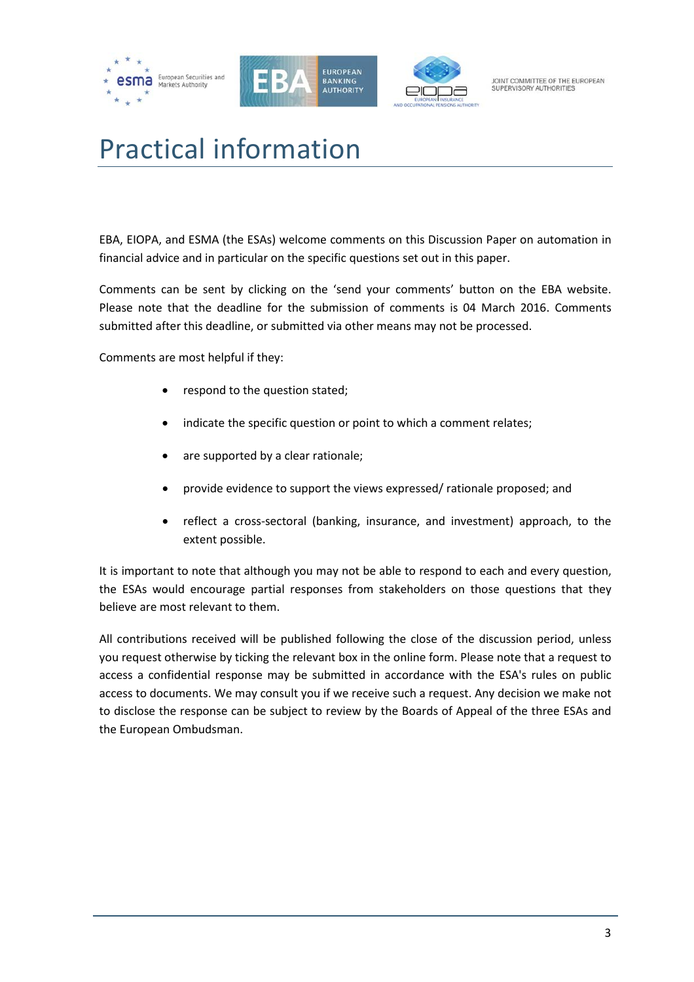





# <span id="page-2-0"></span>Practical information

EBA, EIOPA, and ESMA (the ESAs) welcome comments on this Discussion Paper on automation in financial advice and in particular on the specific questions set out in this paper.

Comments can be sent by clicking on the 'send your comments' button on the EBA website. Please note that the deadline for the submission of comments is 04 March 2016. Comments submitted after this deadline, or submitted via other means may not be processed.

Comments are most helpful if they:

- respond to the question stated;
- indicate the specific question or point to which a comment relates;
- are supported by a clear rationale;
- provide evidence to support the views expressed/ rationale proposed; and
- reflect a cross-sectoral (banking, insurance, and investment) approach, to the extent possible.

It is important to note that although you may not be able to respond to each and every question, the ESAs would encourage partial responses from stakeholders on those questions that they believe are most relevant to them.

All contributions received will be published following the close of the discussion period, unless you request otherwise by ticking the relevant box in the online form. Please note that a request to access a confidential response may be submitted in accordance with the ESA's rules on public access to documents. We may consult you if we receive such a request. Any decision we make not to disclose the response can be subject to review by the Boards of Appeal of the three ESAs and the European Ombudsman.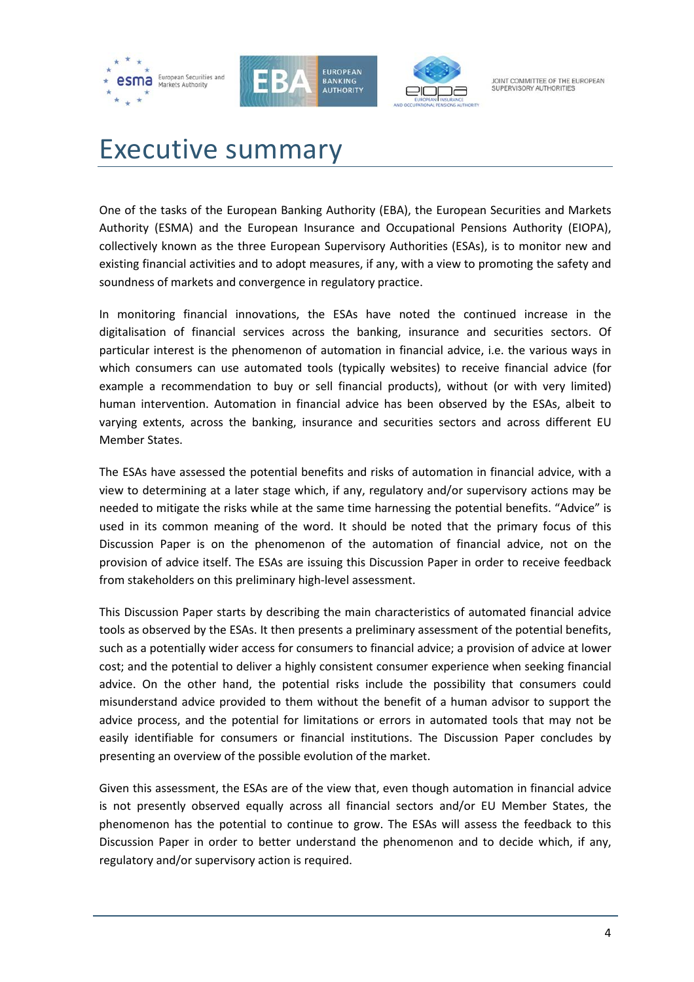





# <span id="page-3-0"></span>Executive summary

One of the tasks of the European Banking Authority (EBA), the European Securities and Markets Authority (ESMA) and the European Insurance and Occupational Pensions Authority (EIOPA), collectively known as the three European Supervisory Authorities (ESAs), is to monitor new and existing financial activities and to adopt measures, if any, with a view to promoting the safety and soundness of markets and convergence in regulatory practice.

In monitoring financial innovations, the ESAs have noted the continued increase in the digitalisation of financial services across the banking, insurance and securities sectors. Of particular interest is the phenomenon of automation in financial advice, i.e. the various ways in which consumers can use automated tools (typically websites) to receive financial advice (for example a recommendation to buy or sell financial products), without (or with very limited) human intervention. Automation in financial advice has been observed by the ESAs, albeit to varying extents, across the banking, insurance and securities sectors and across different EU Member States.

The ESAs have assessed the potential benefits and risks of automation in financial advice, with a view to determining at a later stage which, if any, regulatory and/or supervisory actions may be needed to mitigate the risks while at the same time harnessing the potential benefits. "Advice" is used in its common meaning of the word. It should be noted that the primary focus of this Discussion Paper is on the phenomenon of the automation of financial advice, not on the provision of advice itself. The ESAs are issuing this Discussion Paper in order to receive feedback from stakeholders on this preliminary high-level assessment.

This Discussion Paper starts by describing the main characteristics of automated financial advice tools as observed by the ESAs. It then presents a preliminary assessment of the potential benefits, such as a potentially wider access for consumers to financial advice; a provision of advice at lower cost; and the potential to deliver a highly consistent consumer experience when seeking financial advice. On the other hand, the potential risks include the possibility that consumers could misunderstand advice provided to them without the benefit of a human advisor to support the advice process, and the potential for limitations or errors in automated tools that may not be easily identifiable for consumers or financial institutions. The Discussion Paper concludes by presenting an overview of the possible evolution of the market.

Given this assessment, the ESAs are of the view that, even though automation in financial advice is not presently observed equally across all financial sectors and/or EU Member States, the phenomenon has the potential to continue to grow. The ESAs will assess the feedback to this Discussion Paper in order to better understand the phenomenon and to decide which, if any, regulatory and/or supervisory action is required.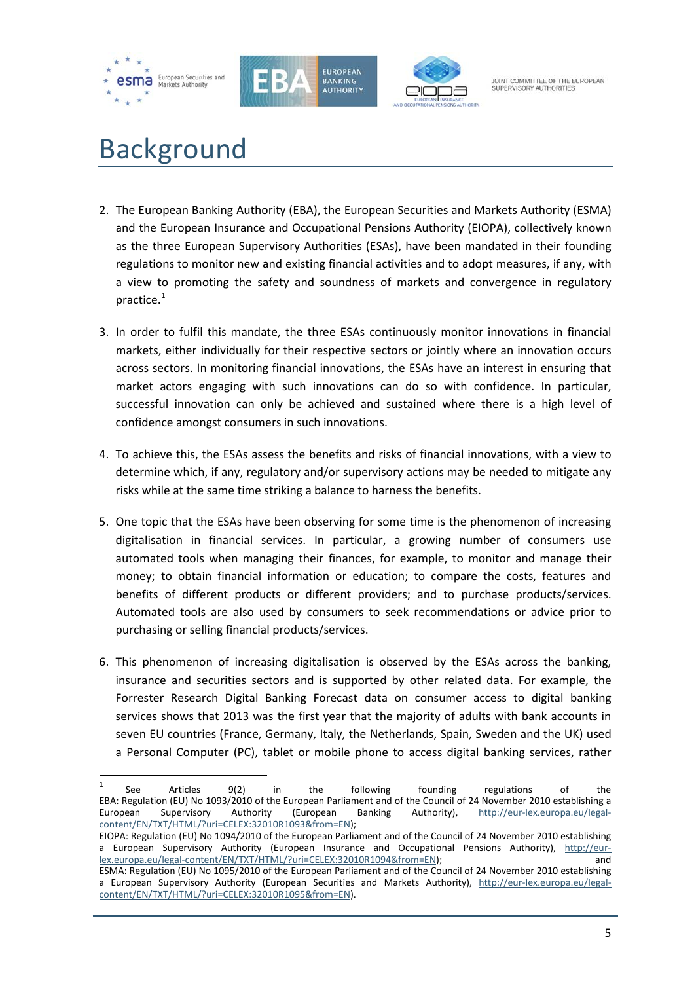

 $\overline{a}$ 





JOINT COMMITTEE OF THE FUROPEAN SUPERVISORY AUTHORITIES

# <span id="page-4-0"></span>Background

- 2. The European Banking Authority (EBA), the European Securities and Markets Authority (ESMA) and the European Insurance and Occupational Pensions Authority (EIOPA), collectively known as the three European Supervisory Authorities (ESAs), have been mandated in their founding regulations to monitor new and existing financial activities and to adopt measures, if any, with a view to promoting the safety and soundness of markets and convergence in regulatory practice.<sup>[1](#page-4-1)</sup>
- 3. In order to fulfil this mandate, the three ESAs continuously monitor innovations in financial markets, either individually for their respective sectors or jointly where an innovation occurs across sectors. In monitoring financial innovations, the ESAs have an interest in ensuring that market actors engaging with such innovations can do so with confidence. In particular, successful innovation can only be achieved and sustained where there is a high level of confidence amongst consumers in such innovations.
- 4. To achieve this, the ESAs assess the benefits and risks of financial innovations, with a view to determine which, if any, regulatory and/or supervisory actions may be needed to mitigate any risks while at the same time striking a balance to harness the benefits.
- 5. One topic that the ESAs have been observing for some time is the phenomenon of increasing digitalisation in financial services. In particular, a growing number of consumers use automated tools when managing their finances, for example, to monitor and manage their money; to obtain financial information or education; to compare the costs, features and benefits of different products or different providers; and to purchase products/services. Automated tools are also used by consumers to seek recommendations or advice prior to purchasing or selling financial products/services.
- 6. This phenomenon of increasing digitalisation is observed by the ESAs across the banking, insurance and securities sectors and is supported by other related data. For example, the Forrester Research Digital Banking Forecast data on consumer access to digital banking services shows that 2013 was the first year that the majority of adults with bank accounts in seven EU countries (France, Germany, Italy, the Netherlands, Spain, Sweden and the UK) used a Personal Computer (PC), tablet or mobile phone to access digital banking services, rather

<span id="page-4-1"></span> $1$  See Articles 9(2) in the following founding regulations of the EBA: Regulation (EU) No 1093/2010 of the European Parliament and of the Council of 24 November 2010 establishing a<br>European Supervisory Authority (European Banking Authority), http://eur-lex.europa.eu/legal-European Supervisory Authority (European Banking Authority), [http://eur-lex.europa.eu/legal](http://eur-lex.europa.eu/legal-content/EN/TXT/HTML/?uri=CELEX:32010R1093&from=EN)[content/EN/TXT/HTML/?uri=CELEX:32010R1093&from=EN\)](http://eur-lex.europa.eu/legal-content/EN/TXT/HTML/?uri=CELEX:32010R1093&from=EN);

EIOPA: Regulation (EU) No 1094/2010 of the European Parliament and of the Council of 24 November 2010 establishing a European Supervisory Authority (European Insurance and Occupational Pensions Authority), [http://eur](http://eur-lex.europa.eu/legal-content/EN/TXT/HTML/?uri=CELEX:32010R1094&from=EN)[lex.europa.eu/legal-content/EN/TXT/HTML/?uri=CELEX:32010R1094&from=EN\)](http://eur-lex.europa.eu/legal-content/EN/TXT/HTML/?uri=CELEX:32010R1094&from=EN); and ESMA: Regulation (EU) No 1095/2010 of the European Parliament and of the Council of 24 November 2010 establishing

a European Supervisory Authority (European Securities and Markets Authority), [http://eur-lex.europa.eu/legal](http://eur-lex.europa.eu/legal-content/EN/TXT/HTML/?uri=CELEX:32010R1095&from=EN)[content/EN/TXT/HTML/?uri=CELEX:32010R1095&from=EN\)](http://eur-lex.europa.eu/legal-content/EN/TXT/HTML/?uri=CELEX:32010R1095&from=EN).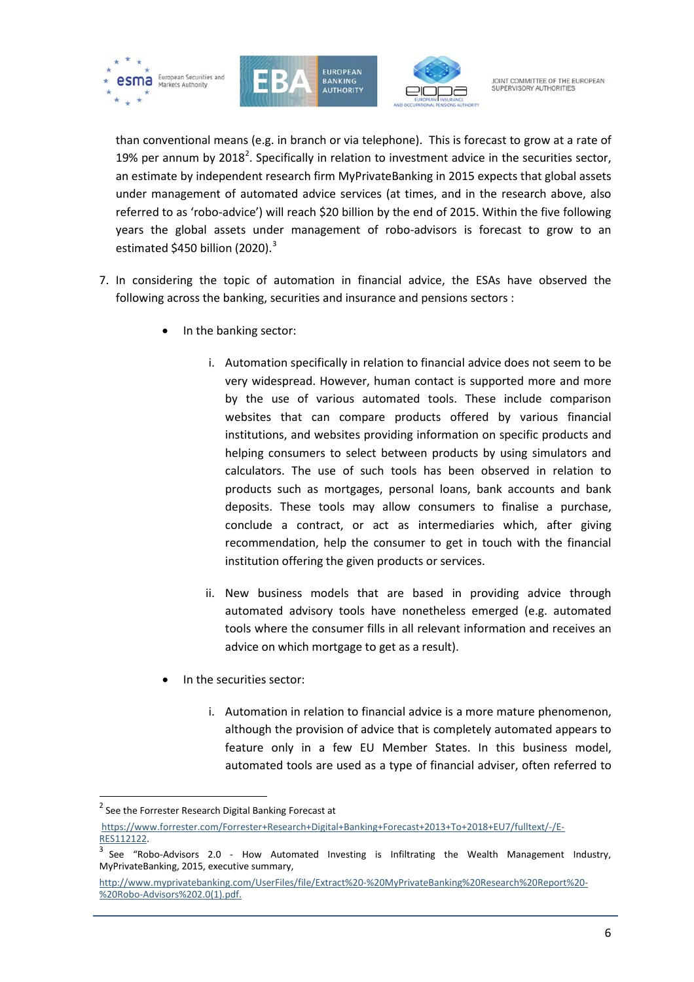





than conventional means (e.g. in branch or via telephone). This is forecast to grow at a rate of 19% per annum by [2](#page-5-0)018<sup>2</sup>. Specifically in relation to investment advice in the securities sector, an estimate by independent research firm MyPrivateBanking in 2015 expects that global assets under management of automated advice services (at times, and in the research above, also referred to as 'robo-advice') will reach \$20 billion by the end of 2015. Within the five following years the global assets under management of robo-advisors is forecast to grow to an estimated \$450 billion (2020).<sup>[3](#page-5-1)</sup>

- 7. In considering the topic of automation in financial advice, the ESAs have observed the following across the banking, securities and insurance and pensions sectors :
	- In the banking sector:
		- i. Automation specifically in relation to financial advice does not seem to be very widespread. However, human contact is supported more and more by the use of various automated tools. These include comparison websites that can compare products offered by various financial institutions, and websites providing information on specific products and helping consumers to select between products by using simulators and calculators. The use of such tools has been observed in relation to products such as mortgages, personal loans, bank accounts and bank deposits. These tools may allow consumers to finalise a purchase, conclude a contract, or act as intermediaries which, after giving recommendation, help the consumer to get in touch with the financial institution offering the given products or services.
		- ii. New business models that are based in providing advice through automated advisory tools have nonetheless emerged (e.g. automated tools where the consumer fills in all relevant information and receives an advice on which mortgage to get as a result).
	- In the securities sector:
		- i. Automation in relation to financial advice is a more mature phenomenon, although the provision of advice that is completely automated appears to feature only in a few EU Member States. In this business model, automated tools are used as a type of financial adviser, often referred to

 $\overline{a}$ 

<span id="page-5-0"></span><sup>&</sup>lt;sup>2</sup> See the Forrester Research Digital Banking Forecast at

[https://www.forrester.com/Forrester+Research+Digital+Banking+Forecast+2013+To+2018+EU7/fulltext/-/E-](https://www.forrester.com/Forrester+Research+Digital+Banking+Forecast+2013+To+2018+EU7/fulltext/-/E-RES112122)

<span id="page-5-1"></span> $3$  See "Robo-Advisors 2.0 - How Automated Investing is Infiltrating the Wealth Management Industry, MyPrivateBanking, 2015, executive summary,

[http://www.myprivatebanking.com/UserFiles/file/Extract%20-%20MyPrivateBanking%20Research%20Report%20-](http://www.myprivatebanking.com/UserFiles/file/Extract%20-%20MyPrivateBanking%20Research%20Report%20-%20Robo-Advisors%202.0(1).pdf) [%20Robo-Advisors%202.0\(1\).pdf.](http://www.myprivatebanking.com/UserFiles/file/Extract%20-%20MyPrivateBanking%20Research%20Report%20-%20Robo-Advisors%202.0(1).pdf)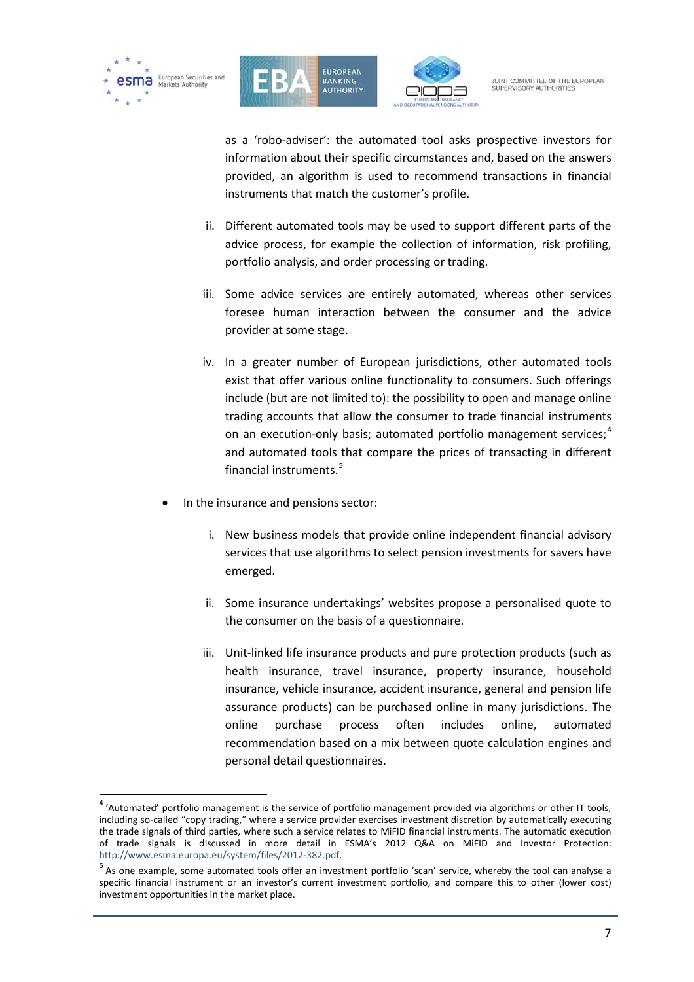

 $\overline{a}$ 





JOINT COMMITTEE OF THE FUROPEAN SUPERVISORY AUTHORITIES

as a 'robo-adviser': the automated tool asks prospective investors for information about their specific circumstances and, based on the answers provided, an algorithm is used to recommend transactions in financial instruments that match the customer's profile.

- ii. Different automated tools may be used to support different parts of the advice process, for example the collection of information, risk profiling, portfolio analysis, and order processing or trading.
- iii. Some advice services are entirely automated, whereas other services foresee human interaction between the consumer and the advice provider at some stage.
- iv. In a greater number of European jurisdictions, other automated tools exist that offer various online functionality to consumers. Such offerings include (but are not limited to): the possibility to open and manage online trading accounts that allow the consumer to trade financial instruments on an execution-only basis; automated portfolio management services;<sup>[4](#page-6-0)</sup> and automated tools that compare the prices of transacting in different financial instruments.[5](#page-6-1)
- In the insurance and pensions sector:
	- i. New business models that provide online independent financial advisory services that use algorithms to select pension investments for savers have emerged.
	- ii. Some insurance undertakings' websites propose a personalised quote to the consumer on the basis of a questionnaire.
	- iii. Unit-linked life insurance products and pure protection products (such as health insurance, travel insurance, property insurance, household insurance, vehicle insurance, accident insurance, general and pension life assurance products) can be purchased online in many jurisdictions. The online purchase process often includes online, automated recommendation based on a mix between quote calculation engines and personal detail questionnaires.

<span id="page-6-0"></span><sup>4</sup> 'Automated' portfolio management is the service of portfolio management provided via algorithms or other IT tools, including so-called "copy trading," where a service provider exercises investment discretion by automatically executing the trade signals of third parties, where such a service relates to MiFID financial instruments. The automatic execution of trade signals is discussed in more detail in ESMA's 2012 Q&A on MiFID and Investor Protection:<br>http://www.esma.europa.eu/system/files/2012-382.pdf.

<span id="page-6-1"></span> $<sup>5</sup>$  As one example, some automated tools offer an investment portfolio 'scan' service, whereby the tool can analyse a</sup> specific financial instrument or an investor's current investment portfolio, and compare this to other (lower cost) investment opportunities in the market place.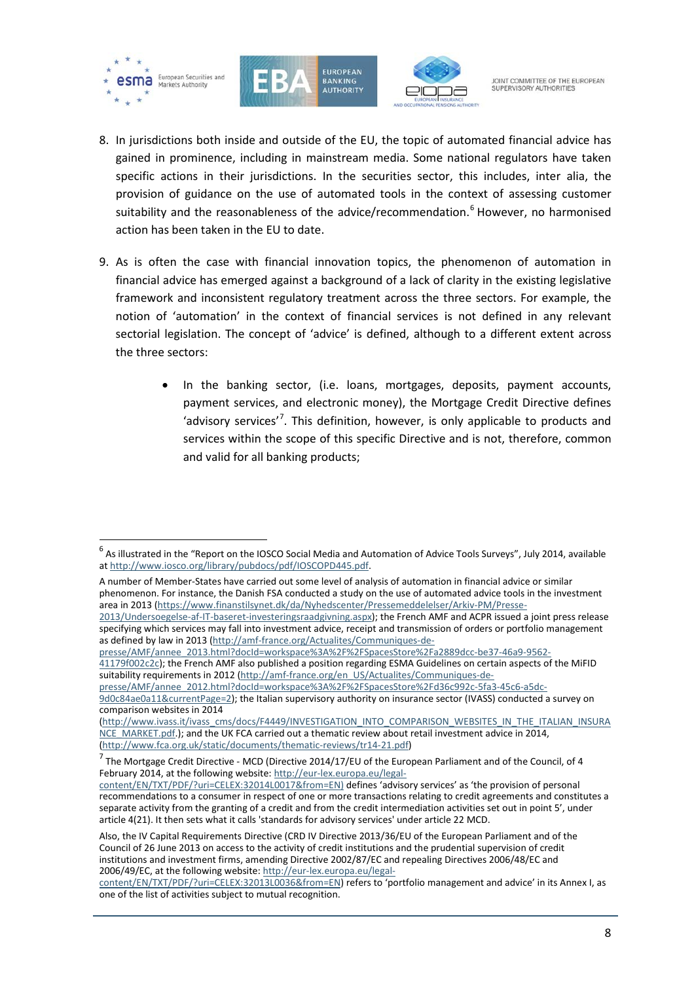

j





JOINT COMMITTEE OF THE FUROPEAN SUPERVISORY AUTHORITIES

- 8. In jurisdictions both inside and outside of the EU, the topic of automated financial advice has gained in prominence, including in mainstream media. Some national regulators have taken specific actions in their jurisdictions. In the securities sector, this includes, inter alia, the provision of guidance on the use of automated tools in the context of assessing customer suitability and the reasonableness of the advice/recommendation. [6](#page-7-0) However, no harmonised action has been taken in the EU to date.
- 9. As is often the case with financial innovation topics, the phenomenon of automation in financial advice has emerged against a background of a lack of clarity in the existing legislative framework and inconsistent regulatory treatment across the three sectors. For example, the notion of 'automation' in the context of financial services is not defined in any relevant sectorial legislation. The concept of 'advice' is defined, although to a different extent across the three sectors:
	- In the banking sector, (i.e. loans, mortgages, deposits, payment accounts, payment services, and electronic money), the Mortgage Credit Directive defines 'advisory services<sup>'[7](#page-7-1)</sup>. This definition, however, is only applicable to products and services within the scope of this specific Directive and is not, therefore, common and valid for all banking products;

as defined by law in 2013 [\(http://amf-france.org/Actualites/Communiques-de](http://amf-france.org/Actualites/Communiques-de-presse/AMF/annee_2013.html?docId=workspace%3A%2F%2FSpacesStore%2Fa2889dcc-be37-46a9-9562-41179f002c2c)[presse/AMF/annee\\_2013.html?docId=workspace%3A%2F%2FSpacesStore%2Fa2889dcc-be37-46a9-9562-](http://amf-france.org/Actualites/Communiques-de-presse/AMF/annee_2013.html?docId=workspace%3A%2F%2FSpacesStore%2Fa2889dcc-be37-46a9-9562-41179f002c2c)

<span id="page-7-0"></span><sup>&</sup>lt;sup>6</sup> As illustrated in the "Report on the IOSCO Social Media and Automation of Advice Tools Surveys", July 2014, available a[t http://www.iosco.org/library/pubdocs/pdf/IOSCOPD445.pdf.](http://www.iosco.org/library/pubdocs/pdf/IOSCOPD445.pdf)

A number of Member-States have carried out some level of analysis of automation in financial advice or similar phenomenon. For instance, the Danish FSA conducted a study on the use of automated advice tools in the investment area in 2013 [\(https://www.finanstilsynet.dk/da/Nyhedscenter/Pressemeddelelser/Arkiv-PM/Presse-](https://www.finanstilsynet.dk/da/Nyhedscenter/Pressemeddelelser/Arkiv-PM/Presse-2013/Undersoegelse-af-IT-baseret-investeringsraadgivning.aspx)[2013/Undersoegelse-af-IT-baseret-investeringsraadgivning.aspx\)](https://www.finanstilsynet.dk/da/Nyhedscenter/Pressemeddelelser/Arkiv-PM/Presse-2013/Undersoegelse-af-IT-baseret-investeringsraadgivning.aspx); the French AMF and ACPR issued a joint press release specifying which services may fall into investment advice, receipt and transmission of orders or portfolio management

[<sup>41179</sup>f002c2c\)](http://amf-france.org/Actualites/Communiques-de-presse/AMF/annee_2013.html?docId=workspace%3A%2F%2FSpacesStore%2Fa2889dcc-be37-46a9-9562-41179f002c2c); the French AMF also published a position regarding ESMA Guidelines on certain aspects of the MiFID suitability requirements in 2012 [\(http://amf-france.org/en\\_US/Actualites/Communiques-de-](http://amf-france.org/en_US/Actualites/Communiques-de-presse/AMF/annee_2012.html?docId=workspace%3A%2F%2FSpacesStore%2Fd36c992c-5fa3-45c6-a5dc-9d0c84ae0a11¤tPage=2)

[presse/AMF/annee\\_2012.html?docId=workspace%3A%2F%2FSpacesStore%2Fd36c992c-5fa3-45c6-a5dc-](http://amf-france.org/en_US/Actualites/Communiques-de-presse/AMF/annee_2012.html?docId=workspace%3A%2F%2FSpacesStore%2Fd36c992c-5fa3-45c6-a5dc-9d0c84ae0a11¤tPage=2)[9d0c84ae0a11&currentPage=2\)](http://amf-france.org/en_US/Actualites/Communiques-de-presse/AMF/annee_2012.html?docId=workspace%3A%2F%2FSpacesStore%2Fd36c992c-5fa3-45c6-a5dc-9d0c84ae0a11¤tPage=2); the Italian supervisory authority on insurance sector (IVASS) conducted a survey on comparison websites in 2014

[<sup>\(</sup>http://www.ivass.it/ivass\\_cms/docs/F4449/INVESTIGATION\\_INTO\\_COMPARISON\\_WEBSITES\\_IN\\_THE\\_ITALIAN\\_INSURA](http://www.ivass.it/ivass_cms/docs/F4449/INVESTIGATION_INTO_COMPARISON_WEBSITES_IN_THE_ITALIAN_INSURANCE_MARKET.pdf) [NCE\\_MARKET.pdf.\)](http://www.ivass.it/ivass_cms/docs/F4449/INVESTIGATION_INTO_COMPARISON_WEBSITES_IN_THE_ITALIAN_INSURANCE_MARKET.pdf); and the UK FCA carried out a thematic review about retail investment advice in 2014, [\(http://www.fca.org.uk/static/documents/thematic-reviews/tr14-21.pdf\)](http://www.fca.org.uk/static/documents/thematic-reviews/tr14-21.pdf)

<span id="page-7-1"></span> $^7$  The Mortgage Credit Directive - MCD (Directive 2014/17/EU of the European Parliament and of the Council, of 4 February 2014, at the following website: [http://eur-lex.europa.eu/legal-](http://eur-lex.europa.eu/legal-content/EN/TXT/PDF/?uri=CELEX:32014L0017&from=EN)

[content/EN/TXT/PDF/?uri=CELEX:32014L0017&from=EN\)](http://eur-lex.europa.eu/legal-content/EN/TXT/PDF/?uri=CELEX:32014L0017&from=EN) defines 'advisory services' as 'the provision of personal recommendations to a consumer in respect of one or more transactions relating to credit agreements and constitutes a separate activity from the granting of a credit and from the credit intermediation activities set out in point 5', under article 4(21). It then sets what it calls 'standards for advisory services' under article 22 MCD.

Also, the IV Capital Requirements Directive (CRD IV Directive 2013/36/EU of the European Parliament and of the Council of 26 June 2013 on access to the activity of credit institutions and the prudential supervision of credit institutions and investment firms, amending Directive 2002/87/EC and repealing Directives 2006/48/EC and 2006/49/EC, at the following website: [http://eur-lex.europa.eu/legal-](http://eur-lex.europa.eu/legal-content/EN/TXT/PDF/?uri=CELEX:32013L0036&from=EN)

[content/EN/TXT/PDF/?uri=CELEX:32013L0036&from=EN\)](http://eur-lex.europa.eu/legal-content/EN/TXT/PDF/?uri=CELEX:32013L0036&from=EN) refers to 'portfolio management and advice' in its Annex I, as one of the list of activities subject to mutual recognition.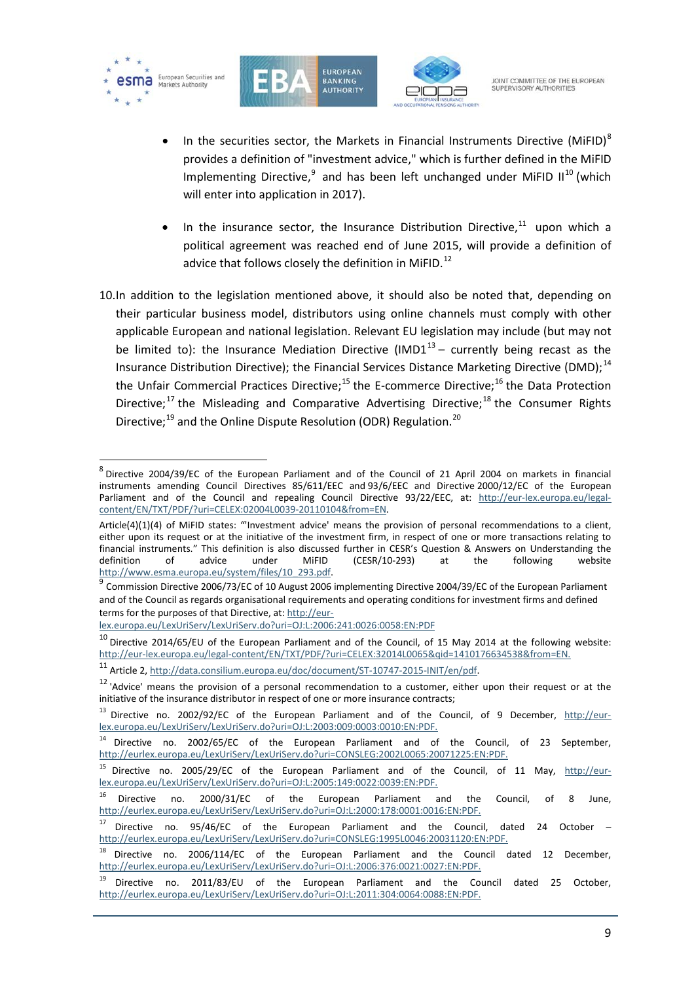

j





JOINT COMMITTEE OF THE FUROPEAN SUPERVISORY AUTHORITIES

- In the securities sector, the Markets in Financial Instruments Directive (MiFID)<sup>[8](#page-8-0)</sup> provides a definition of "investment advice," which is further defined in the MiFID Implementing Directive,  $9$  and has been left unchanged under MiFID II<sup>[10](#page-8-2)</sup> (which will enter into application in 2017).
- In the insurance sector, the Insurance Distribution Directive,  $11$  upon which a political agreement was reached end of June 2015, will provide a definition of advice that follows closely the definition in MiFID.<sup>[12](#page-8-4)</sup>
- 10.In addition to the legislation mentioned above, it should also be noted that, depending on their particular business model, distributors using online channels must comply with other applicable European and national legislation. Relevant EU legislation may include (but may not be limited to): the Insurance Mediation Directive (IMD1 $<sup>13</sup>$  $<sup>13</sup>$  $<sup>13</sup>$  – currently being recast as the</sup> Insurance Distribution Directive); the Financial Services Distance Marketing Directive (DMD);<sup>[14](#page-8-6)</sup> the Unfair Commercial Practices Directive;<sup>[15](#page-8-7)</sup> the E-commerce Directive;<sup>[16](#page-8-8)</sup> the Data Protection Directive;<sup>[17](#page-8-9)</sup> the Misleading and Comparative Advertising Directive;<sup>[18](#page-8-10)</sup> the Consumer Rights Directive;<sup>[19](#page-8-11)</sup> and the Online Dispute Resolution (ODR) Regulation.<sup>[20](#page-8-11)</sup>

[lex.europa.eu/LexUriServ/LexUriServ.do?uri=OJ:L:2006:241:0026:0058:EN:PDF](http://eur-lex.europa.eu/LexUriServ/LexUriServ.do?uri=OJ:L:2006:241:0026:0058:EN:PDF)

<span id="page-8-0"></span><sup>8</sup> Directive 2004/39/EC of the European Parliament and of the Council of 21 April 2004 on markets in financial instruments amending Council Directives 85/611/EEC and 93/6/EEC and Directive 2000/12/EC of the European Parliament and of the Council and repealing Council Directive 93/22/EEC, at: [http://eur-lex.europa.eu/legal](http://eur-lex.europa.eu/legal-content/EN/TXT/PDF/?uri=CELEX:02004L0039-20110104&from=EN)[content/EN/TXT/PDF/?uri=CELEX:02004L0039-20110104&from=EN.](http://eur-lex.europa.eu/legal-content/EN/TXT/PDF/?uri=CELEX:02004L0039-20110104&from=EN)

Article(4)(1)(4) of MiFID states: "'Investment advice' means the provision of personal recommendations to a client, either upon its request or at the initiative of the investment firm, in respect of one or more transactions relating to financial instruments." This definition is also discussed further in CESR's Question & Answers on Understanding the definition of advice under MiFID (CESR/10-293) at the following website definition of advice under MiFID (CESR/10-293) at the following website http://www.esma.europa.eu/system/files/10 293.pdf.

<span id="page-8-1"></span> $^9$  Commission Directive 2006/73/EC of 10 August 2006 implementing Directive 2004/39/EC of the European Parliament and of the Council as regards organisational requirements and operating conditions for investment firms and defined terms for the purposes of that Directive, at[: http://eur-](http://eur-lex.europa.eu/LexUriServ/LexUriServ.do?uri=OJ:L:2006:241:0026:0058:EN:PDF)

<span id="page-8-2"></span> $10$  Directive 2014/65/EU of the European Parliament and of the Council, of 15 May 2014 at the following website: [http://eur-lex.europa.eu/legal-content/EN/TXT/PDF/?uri=CELEX:32014L0065&qid=1410176634538&from=EN.](http://eur-lex.europa.eu/legal-content/EN/TXT/PDF/?uri=CELEX:32014L0065&qid=1410176634538&from=EN)

<span id="page-8-4"></span><span id="page-8-3"></span><sup>&</sup>lt;sup>11</sup> Article 2, [http://data.consilium.europa.eu/doc/document/ST-10747-2015-INIT/en/pdf.](http://data.consilium.europa.eu/doc/document/ST-10747-2015-INIT/en/pdf)<br><sup>12</sup> 'Advice' means the provision of a personal recommendation to a customer, either upon their request or at the initiative of the insurance distributor in respect of one or more insurance contracts;

<span id="page-8-5"></span><sup>&</sup>lt;sup>13</sup> Directive no. 2002/92/EC of the European Parliament and of the Council, of 9 December, [http://eur](http://eur-lex.europa.eu/LexUriServ/LexUriServ.do?uri=OJ:L:2003:009:0003:0010:EN:PDF)[lex.europa.eu/LexUriServ/LexUriServ.do?uri=OJ:L:2003:009:0003:0010:EN:PDF.](http://eur-lex.europa.eu/LexUriServ/LexUriServ.do?uri=OJ:L:2003:009:0003:0010:EN:PDF)

<span id="page-8-6"></span><sup>&</sup>lt;sup>14</sup> Directive no. 2002/65/EC of the European Parliament and of the Council, of 23 September, [http://eurlex.europa.eu/LexUriServ/LexUriServ.do?uri=CONSLEG:2002L0065:20071225:EN:PDF.](http://eurlex.europa.eu/LexUriServ/LexUriServ.do?uri=CONSLEG:2002L0065:20071225:EN:PDF)

<span id="page-8-7"></span><sup>&</sup>lt;sup>15</sup> Directive no. 2005/29/EC of the European Parliament and of the Council, of 11 May, [http://eur](http://eur-lex.europa.eu/LexUriServ/LexUriServ.do?uri=OJ:L:2005:149:0022:0039:EN:PDF)[lex.europa.eu/LexUriServ/LexUriServ.do?uri=OJ:L:2005:149:0022:0039:EN:PDF.](http://eur-lex.europa.eu/LexUriServ/LexUriServ.do?uri=OJ:L:2005:149:0022:0039:EN:PDF)

<span id="page-8-8"></span> $16$  Directive no. 2000/31/EC of the European Parliament and the Council, of 8 June, [http://eurlex.europa.eu/LexUriServ/LexUriServ.do?uri=OJ:L:2000:178:0001:0016:EN:PDF.](http://eurlex.europa.eu/LexUriServ/LexUriServ.do?uri=OJ:L:2000:178:0001:0016:EN:PDF)

<span id="page-8-9"></span><sup>&</sup>lt;sup>17</sup> Directive no. 95/46/EC of the European Parliament and the Council, dated 24 October – [http://eurlex.europa.eu/LexUriServ/LexUriServ.do?uri=CONSLEG:1995L0046:20031120:EN:PDF.](http://eurlex.europa.eu/LexUriServ/LexUriServ.do?uri=CONSLEG:1995L0046:20031120:EN:PDF)

<span id="page-8-10"></span><sup>&</sup>lt;sup>18</sup> Directive no. 2006/114/EC of the European Parliament and the Council dated 12 December, [http://eurlex.europa.eu/LexUriServ/LexUriServ.do?uri=OJ:L:2006:376:0021:0027:EN:PDF.](http://eurlex.europa.eu/LexUriServ/LexUriServ.do?uri=OJ:L:2006:376:0021:0027:EN:PDF)

<span id="page-8-11"></span>Directive no. 2011/83/EU of the European Parliament and the Council dated 25 October, [http://eurlex.europa.eu/LexUriServ/LexUriServ.do?uri=OJ:L:2011:304:0064:0088:EN:PDF.](http://eurlex.europa.eu/LexUriServ/LexUriServ.do?uri=OJ:L:2011:304:0064:0088:EN:PDF)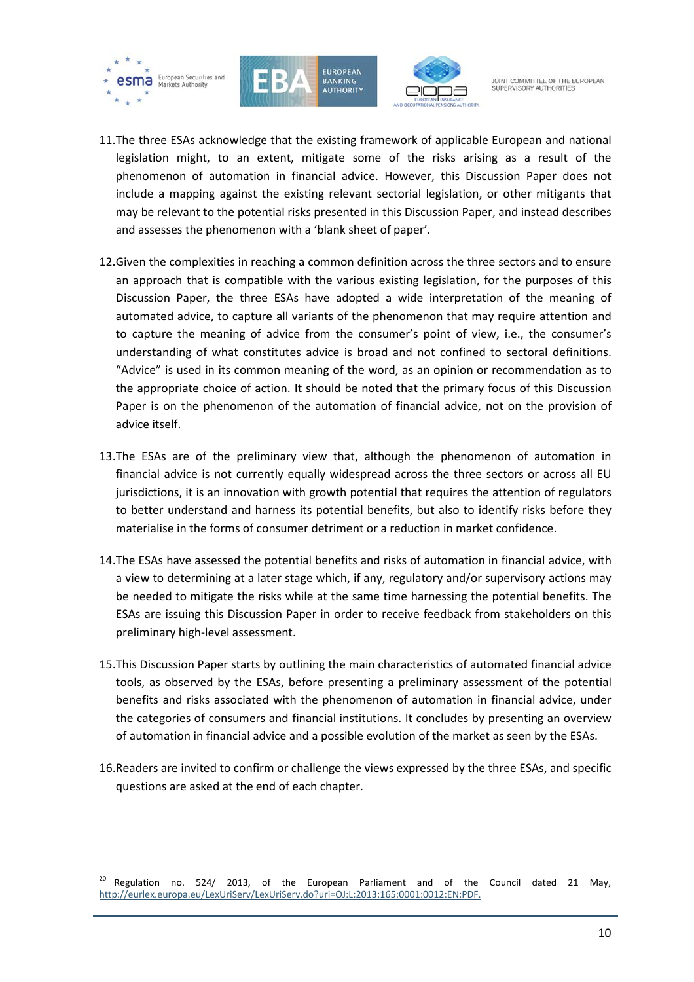

1





JOINT COMMITTEE OF THE FUROPEAN SUPERVISORY AUTHORITIES

- 11.The three ESAs acknowledge that the existing framework of applicable European and national legislation might, to an extent, mitigate some of the risks arising as a result of the phenomenon of automation in financial advice. However, this Discussion Paper does not include a mapping against the existing relevant sectorial legislation, or other mitigants that may be relevant to the potential risks presented in this Discussion Paper, and instead describes and assesses the phenomenon with a 'blank sheet of paper'.
- 12.Given the complexities in reaching a common definition across the three sectors and to ensure an approach that is compatible with the various existing legislation, for the purposes of this Discussion Paper, the three ESAs have adopted a wide interpretation of the meaning of automated advice, to capture all variants of the phenomenon that may require attention and to capture the meaning of advice from the consumer's point of view, i.e., the consumer's understanding of what constitutes advice is broad and not confined to sectoral definitions. "Advice" is used in its common meaning of the word, as an opinion or recommendation as to the appropriate choice of action. It should be noted that the primary focus of this Discussion Paper is on the phenomenon of the automation of financial advice, not on the provision of advice itself.
- 13.The ESAs are of the preliminary view that, although the phenomenon of automation in financial advice is not currently equally widespread across the three sectors or across all EU jurisdictions, it is an innovation with growth potential that requires the attention of regulators to better understand and harness its potential benefits, but also to identify risks before they materialise in the forms of consumer detriment or a reduction in market confidence.
- 14.The ESAs have assessed the potential benefits and risks of automation in financial advice, with a view to determining at a later stage which, if any, regulatory and/or supervisory actions may be needed to mitigate the risks while at the same time harnessing the potential benefits. The ESAs are issuing this Discussion Paper in order to receive feedback from stakeholders on this preliminary high-level assessment.
- 15.This Discussion Paper starts by outlining the main characteristics of automated financial advice tools, as observed by the ESAs, before presenting a preliminary assessment of the potential benefits and risks associated with the phenomenon of automation in financial advice, under the categories of consumers and financial institutions. It concludes by presenting an overview of automation in financial advice and a possible evolution of the market as seen by the ESAs.
- 16.Readers are invited to confirm or challenge the views expressed by the three ESAs, and specific questions are asked at the end of each chapter.

 $20$  Regulation no. 524/ 2013, of the European Parliament and of the Council dated 21 May, [http://eurlex.europa.eu/LexUriServ/LexUriServ.do?uri=OJ:L:2013:165:0001:0012:EN:PDF.](http://eurlex.europa.eu/LexUriServ/LexUriServ.do?uri=OJ:L:2013:165:0001:0012:EN:PDF)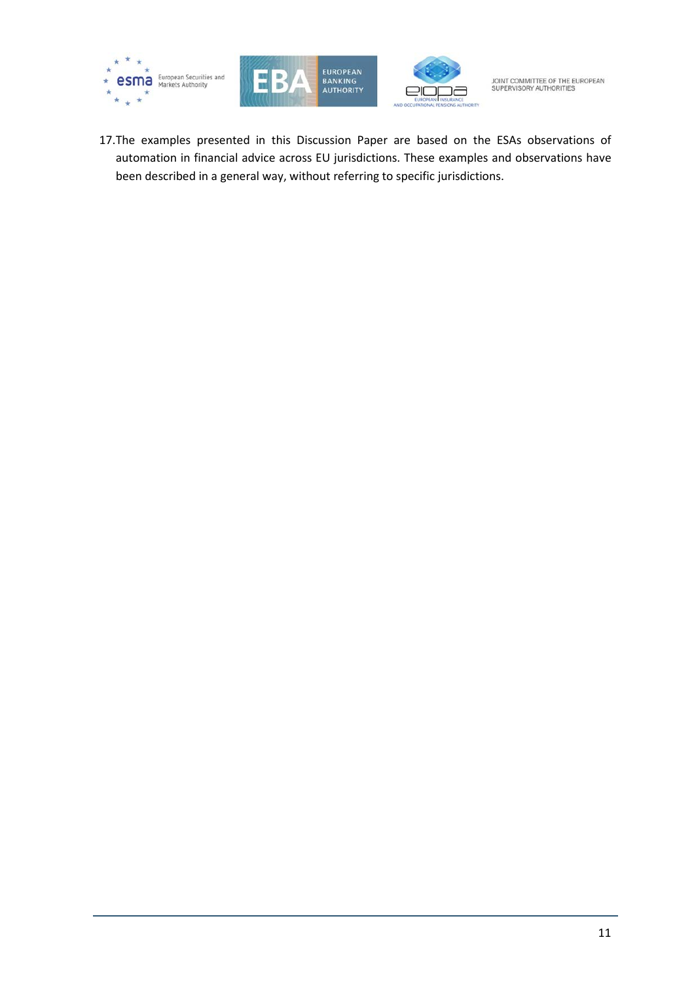





17.The examples presented in this Discussion Paper are based on the ESAs observations of automation in financial advice across EU jurisdictions. These examples and observations have been described in a general way, without referring to specific jurisdictions.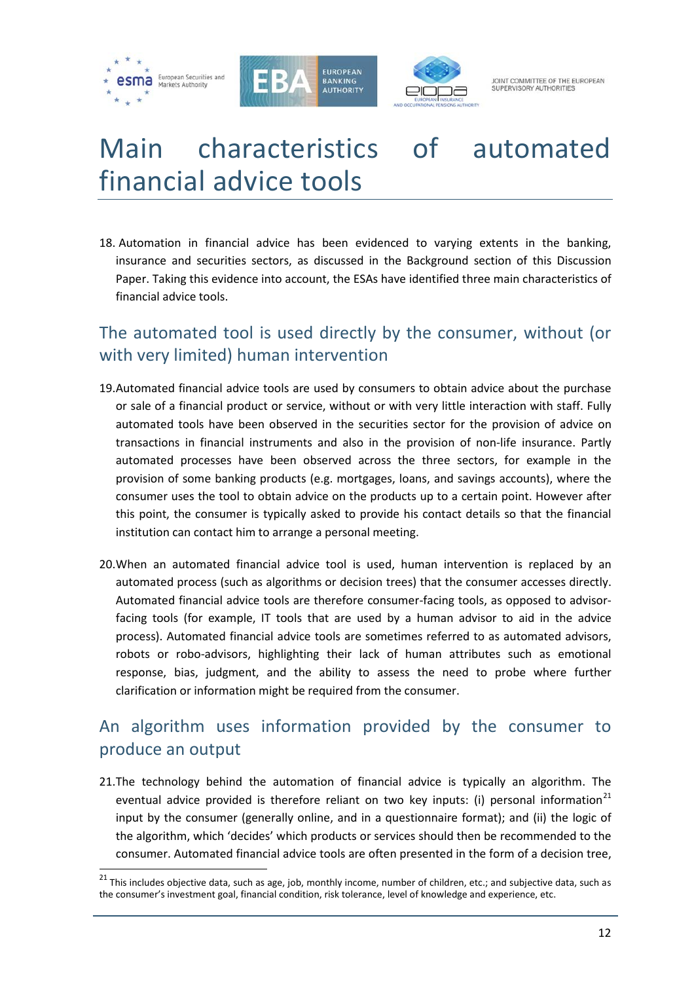





# <span id="page-11-0"></span>Main characteristics of automated financial advice tools

18. Automation in financial advice has been evidenced to varying extents in the banking, insurance and securities sectors, as discussed in the Background section of this Discussion Paper. Taking this evidence into account, the ESAs have identified three main characteristics of financial advice tools.

# The automated tool is used directly by the consumer, without (or with very limited) human intervention

- 19.Automated financial advice tools are used by consumers to obtain advice about the purchase or sale of a financial product or service, without or with very little interaction with staff. Fully automated tools have been observed in the securities sector for the provision of advice on transactions in financial instruments and also in the provision of non-life insurance. Partly automated processes have been observed across the three sectors, for example in the provision of some banking products (e.g. mortgages, loans, and savings accounts), where the consumer uses the tool to obtain advice on the products up to a certain point. However after this point, the consumer is typically asked to provide his contact details so that the financial institution can contact him to arrange a personal meeting.
- 20.When an automated financial advice tool is used, human intervention is replaced by an automated process (such as algorithms or decision trees) that the consumer accesses directly. Automated financial advice tools are therefore consumer-facing tools, as opposed to advisorfacing tools (for example, IT tools that are used by a human advisor to aid in the advice process). Automated financial advice tools are sometimes referred to as automated advisors, robots or robo-advisors, highlighting their lack of human attributes such as emotional response, bias, judgment, and the ability to assess the need to probe where further clarification or information might be required from the consumer.

# An algorithm uses information provided by the consumer to produce an output

21.The technology behind the automation of financial advice is typically an algorithm. The eventual advice provided is therefore reliant on two key inputs: (i) personal information<sup>[21](#page-11-1)</sup> input by the consumer (generally online, and in a questionnaire format); and (ii) the logic of the algorithm, which 'decides' which products or services should then be recommended to the consumer. Automated financial advice tools are often presented in the form of a decision tree,

<span id="page-11-1"></span> $21$  This includes objective data, such as age, job, monthly income, number of children, etc.; and subjective data, such as the consumer's investment goal, financial condition, risk tolerance, level of knowledge and experience, etc.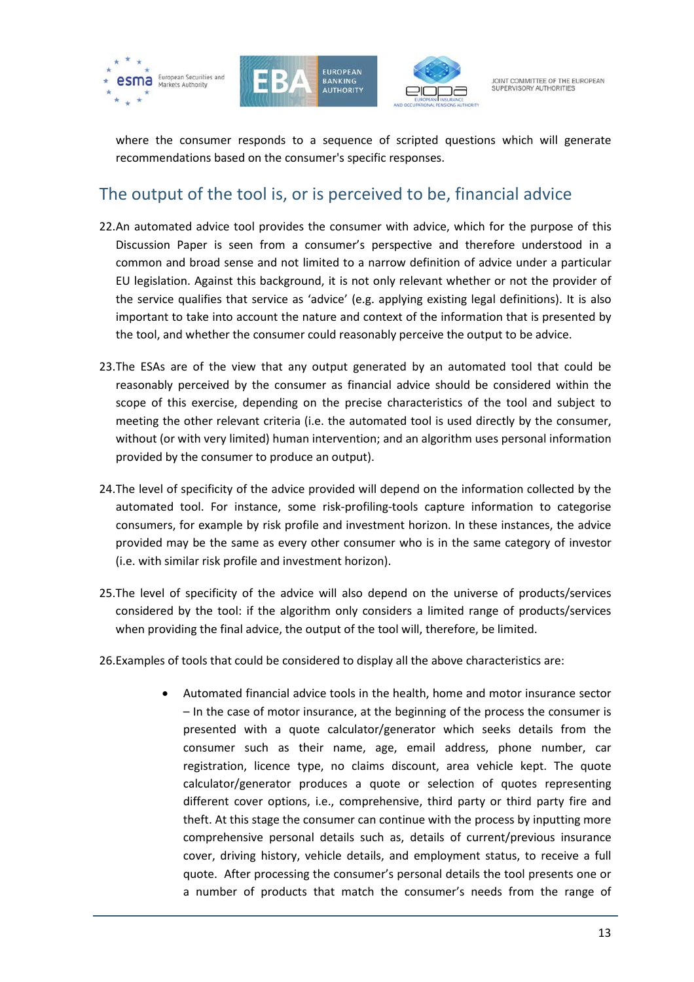





where the consumer responds to a sequence of scripted questions which will generate recommendations based on the consumer's specific responses.

# The output of the tool is, or is perceived to be, financial advice

- 22.An automated advice tool provides the consumer with advice, which for the purpose of this Discussion Paper is seen from a consumer's perspective and therefore understood in a common and broad sense and not limited to a narrow definition of advice under a particular EU legislation. Against this background, it is not only relevant whether or not the provider of the service qualifies that service as 'advice' (e.g. applying existing legal definitions). It is also important to take into account the nature and context of the information that is presented by the tool, and whether the consumer could reasonably perceive the output to be advice.
- 23.The ESAs are of the view that any output generated by an automated tool that could be reasonably perceived by the consumer as financial advice should be considered within the scope of this exercise, depending on the precise characteristics of the tool and subject to meeting the other relevant criteria (i.e. the automated tool is used directly by the consumer, without (or with very limited) human intervention; and an algorithm uses personal information provided by the consumer to produce an output).
- 24.The level of specificity of the advice provided will depend on the information collected by the automated tool. For instance, some risk-profiling-tools capture information to categorise consumers, for example by risk profile and investment horizon. In these instances, the advice provided may be the same as every other consumer who is in the same category of investor (i.e. with similar risk profile and investment horizon).
- 25.The level of specificity of the advice will also depend on the universe of products/services considered by the tool: if the algorithm only considers a limited range of products/services when providing the final advice, the output of the tool will, therefore, be limited.
- 26.Examples of tools that could be considered to display all the above characteristics are:
	- Automated financial advice tools in the health, home and motor insurance sector – In the case of motor insurance, at the beginning of the process the consumer is presented with a quote calculator/generator which seeks details from the consumer such as their name, age, email address, phone number, car registration, licence type, no claims discount, area vehicle kept. The quote calculator/generator produces a quote or selection of quotes representing different cover options, i.e., comprehensive, third party or third party fire and theft. At this stage the consumer can continue with the process by inputting more comprehensive personal details such as, details of current/previous insurance cover, driving history, vehicle details, and employment status, to receive a full quote. After processing the consumer's personal details the tool presents one or a number of products that match the consumer's needs from the range of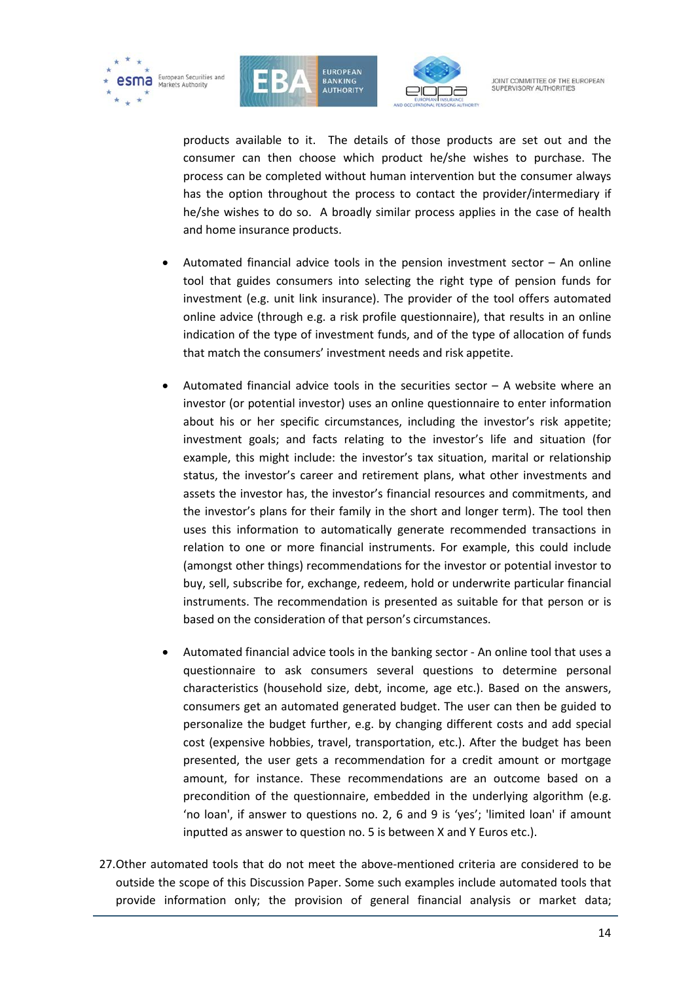





products available to it. The details of those products are set out and the consumer can then choose which product he/she wishes to purchase. The process can be completed without human intervention but the consumer always has the option throughout the process to contact the provider/intermediary if he/she wishes to do so. A broadly similar process applies in the case of health and home insurance products.

- Automated financial advice tools in the pension investment sector  $-$  An online tool that guides consumers into selecting the right type of pension funds for investment (e.g. unit link insurance). The provider of the tool offers automated online advice (through e.g. a risk profile questionnaire), that results in an online indication of the type of investment funds, and of the type of allocation of funds that match the consumers' investment needs and risk appetite.
- Automated financial advice tools in the securities sector  $-$  A website where an investor (or potential investor) uses an online questionnaire to enter information about his or her specific circumstances, including the investor's risk appetite; investment goals; and facts relating to the investor's life and situation (for example, this might include: the investor's tax situation, marital or relationship status, the investor's career and retirement plans, what other investments and assets the investor has, the investor's financial resources and commitments, and the investor's plans for their family in the short and longer term). The tool then uses this information to automatically generate recommended transactions in relation to one or more financial instruments. For example, this could include (amongst other things) recommendations for the investor or potential investor to buy, sell, subscribe for, exchange, redeem, hold or underwrite particular financial instruments. The recommendation is presented as suitable for that person or is based on the consideration of that person's circumstances.
- Automated financial advice tools in the banking sector An online tool that uses a questionnaire to ask consumers several questions to determine personal characteristics (household size, debt, income, age etc.). Based on the answers, consumers get an automated generated budget. The user can then be guided to personalize the budget further, e.g. by changing different costs and add special cost (expensive hobbies, travel, transportation, etc.). After the budget has been presented, the user gets a recommendation for a credit amount or mortgage amount, for instance. These recommendations are an outcome based on a precondition of the questionnaire, embedded in the underlying algorithm (e.g. 'no loan', if answer to questions no. 2, 6 and 9 is 'yes'; 'limited loan' if amount inputted as answer to question no. 5 is between X and Y Euros etc.).
- 27.Other automated tools that do not meet the above-mentioned criteria are considered to be outside the scope of this Discussion Paper. Some such examples include automated tools that provide information only; the provision of general financial analysis or market data;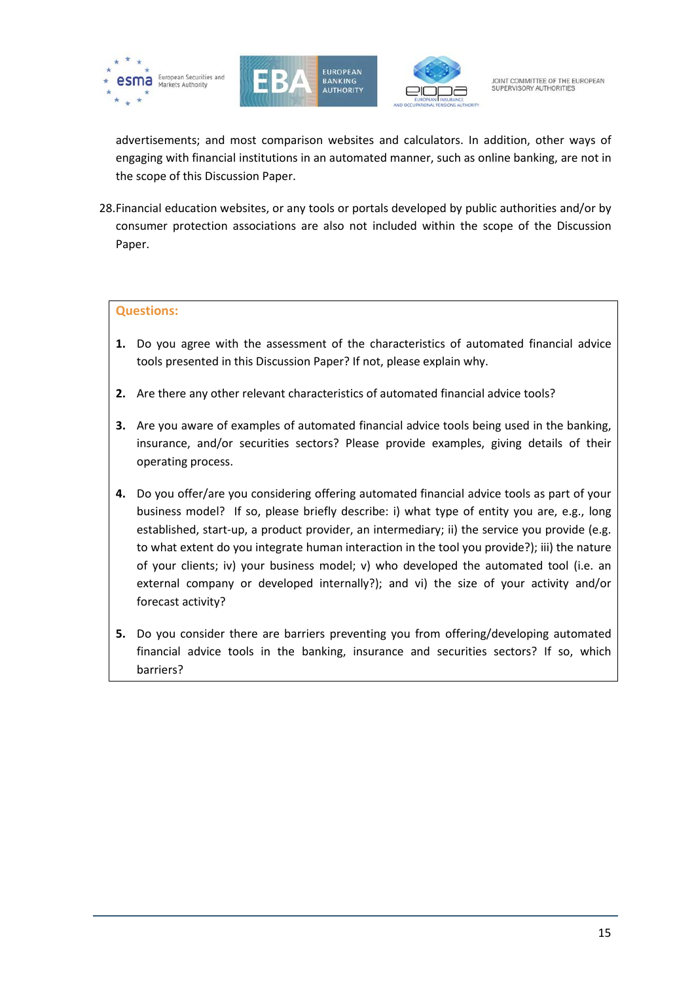





advertisements; and most comparison websites and calculators. In addition, other ways of engaging with financial institutions in an automated manner, such as online banking, are not in the scope of this Discussion Paper.

28.Financial education websites, or any tools or portals developed by public authorities and/or by consumer protection associations are also not included within the scope of the Discussion Paper.

#### **Questions:**

- **1.** Do you agree with the assessment of the characteristics of automated financial advice tools presented in this Discussion Paper? If not, please explain why.
- **2.** Are there any other relevant characteristics of automated financial advice tools?
- **3.** Are you aware of examples of automated financial advice tools being used in the banking, insurance, and/or securities sectors? Please provide examples, giving details of their operating process.
- **4.** Do you offer/are you considering offering automated financial advice tools as part of your business model? If so, please briefly describe: i) what type of entity you are, e.g., long established, start-up, a product provider, an intermediary; ii) the service you provide (e.g. to what extent do you integrate human interaction in the tool you provide?); iii) the nature of your clients; iv) your business model; v) who developed the automated tool (i.e. an external company or developed internally?); and vi) the size of your activity and/or forecast activity?
- **5.** Do you consider there are barriers preventing you from offering/developing automated financial advice tools in the banking, insurance and securities sectors? If so, which barriers?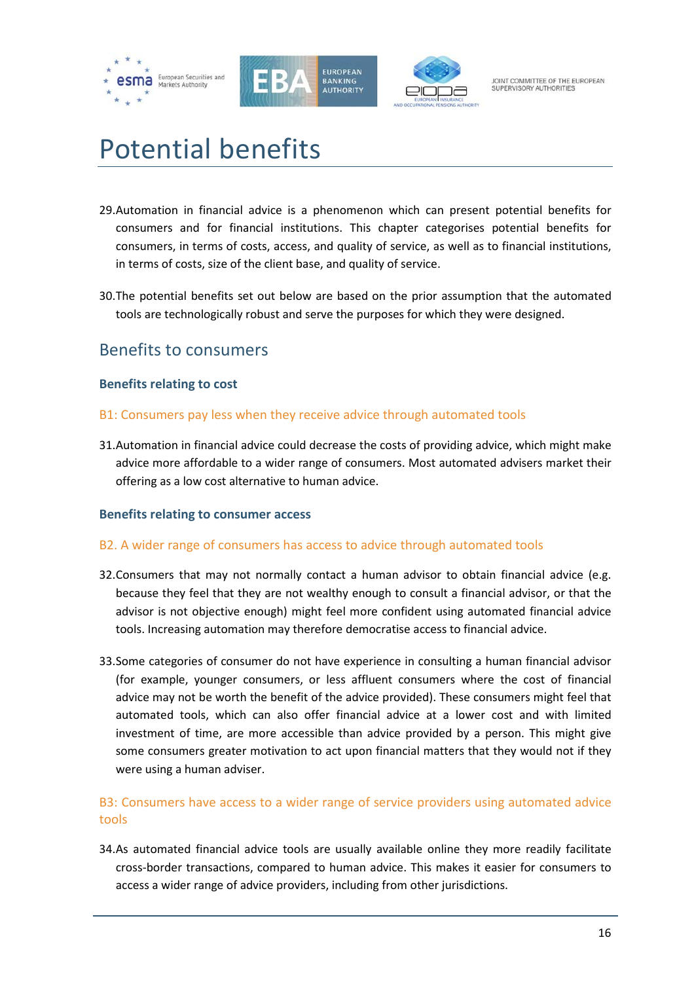





# <span id="page-15-0"></span>Potential benefits

- 29.Automation in financial advice is a phenomenon which can present potential benefits for consumers and for financial institutions. This chapter categorises potential benefits for consumers, in terms of costs, access, and quality of service, as well as to financial institutions, in terms of costs, size of the client base, and quality of service.
- 30.The potential benefits set out below are based on the prior assumption that the automated tools are technologically robust and serve the purposes for which they were designed.

# <span id="page-15-1"></span>Benefits to consumers

### <span id="page-15-2"></span>**Benefits relating to cost**

- B1: Consumers pay less when they receive advice through automated tools
- 31.Automation in financial advice could decrease the costs of providing advice, which might make advice more affordable to a wider range of consumers. Most automated advisers market their offering as a low cost alternative to human advice.

# <span id="page-15-3"></span>**Benefits relating to consumer access**

#### B2. A wider range of consumers has access to advice through automated tools

- 32.Consumers that may not normally contact a human advisor to obtain financial advice (e.g. because they feel that they are not wealthy enough to consult a financial advisor, or that the advisor is not objective enough) might feel more confident using automated financial advice tools. Increasing automation may therefore democratise access to financial advice.
- 33.Some categories of consumer do not have experience in consulting a human financial advisor (for example, younger consumers, or less affluent consumers where the cost of financial advice may not be worth the benefit of the advice provided). These consumers might feel that automated tools, which can also offer financial advice at a lower cost and with limited investment of time, are more accessible than advice provided by a person. This might give some consumers greater motivation to act upon financial matters that they would not if they were using a human adviser.

# B3: Consumers have access to a wider range of service providers using automated advice tools

34.As automated financial advice tools are usually available online they more readily facilitate cross-border transactions, compared to human advice. This makes it easier for consumers to access a wider range of advice providers, including from other jurisdictions.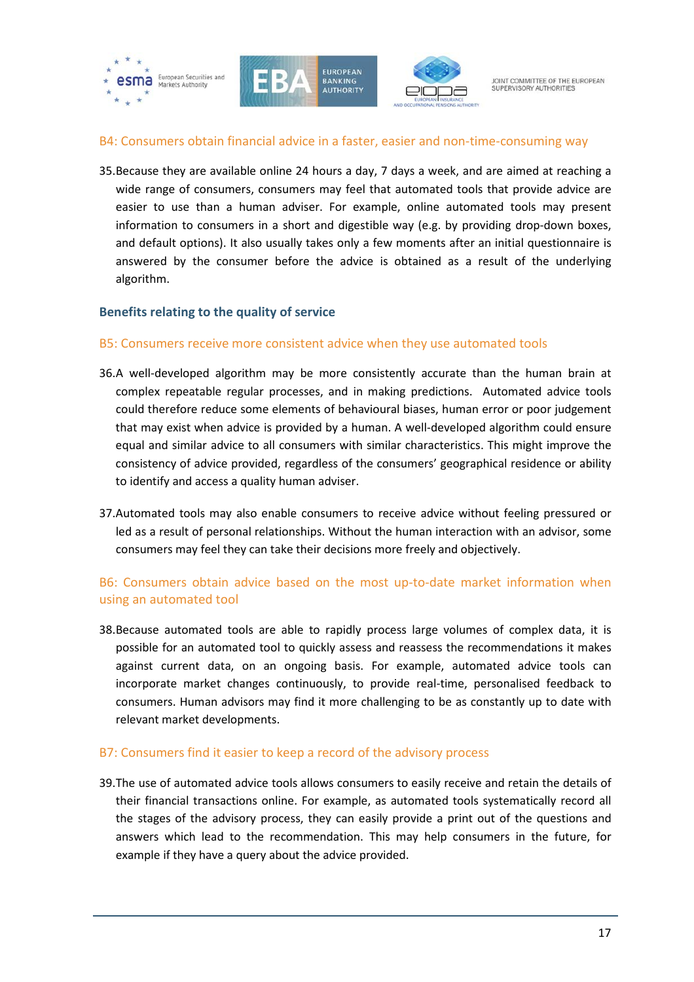

#### B4: Consumers obtain financial advice in a faster, easier and non-time-consuming way

35.Because they are available online 24 hours a day, 7 days a week, and are aimed at reaching a wide range of consumers, consumers may feel that automated tools that provide advice are easier to use than a human adviser. For example, online automated tools may present information to consumers in a short and digestible way (e.g. by providing drop-down boxes, and default options). It also usually takes only a few moments after an initial questionnaire is answered by the consumer before the advice is obtained as a result of the underlying algorithm.

#### <span id="page-16-0"></span>**Benefits relating to the quality of service**

#### B5: Consumers receive more consistent advice when they use automated tools

- 36.A well-developed algorithm may be more consistently accurate than the human brain at complex repeatable regular processes, and in making predictions. Automated advice tools could therefore reduce some elements of behavioural biases, human error or poor judgement that may exist when advice is provided by a human. A well-developed algorithm could ensure equal and similar advice to all consumers with similar characteristics. This might improve the consistency of advice provided, regardless of the consumers' geographical residence or ability to identify and access a quality human adviser.
- 37.Automated tools may also enable consumers to receive advice without feeling pressured or led as a result of personal relationships. Without the human interaction with an advisor, some consumers may feel they can take their decisions more freely and objectively.

# B6: Consumers obtain advice based on the most up-to-date market information when using an automated tool

38.Because automated tools are able to rapidly process large volumes of complex data, it is possible for an automated tool to quickly assess and reassess the recommendations it makes against current data, on an ongoing basis. For example, automated advice tools can incorporate market changes continuously, to provide real-time, personalised feedback to consumers. Human advisors may find it more challenging to be as constantly up to date with relevant market developments.

#### B7: Consumers find it easier to keep a record of the advisory process

39.The use of automated advice tools allows consumers to easily receive and retain the details of their financial transactions online. For example, as automated tools systematically record all the stages of the advisory process, they can easily provide a print out of the questions and answers which lead to the recommendation. This may help consumers in the future, for example if they have a query about the advice provided.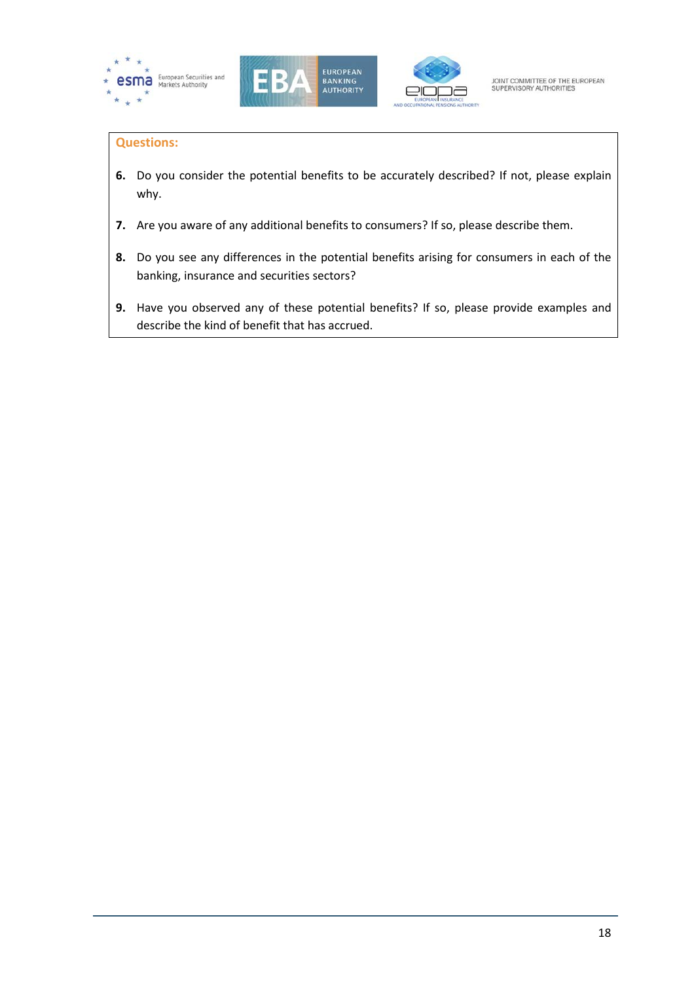





### **Questions:**

- **6.** Do you consider the potential benefits to be accurately described? If not, please explain why.
- **7.** Are you aware of any additional benefits to consumers? If so, please describe them.
- **8.** Do you see any differences in the potential benefits arising for consumers in each of the banking, insurance and securities sectors?
- **9.** Have you observed any of these potential benefits? If so, please provide examples and describe the kind of benefit that has accrued.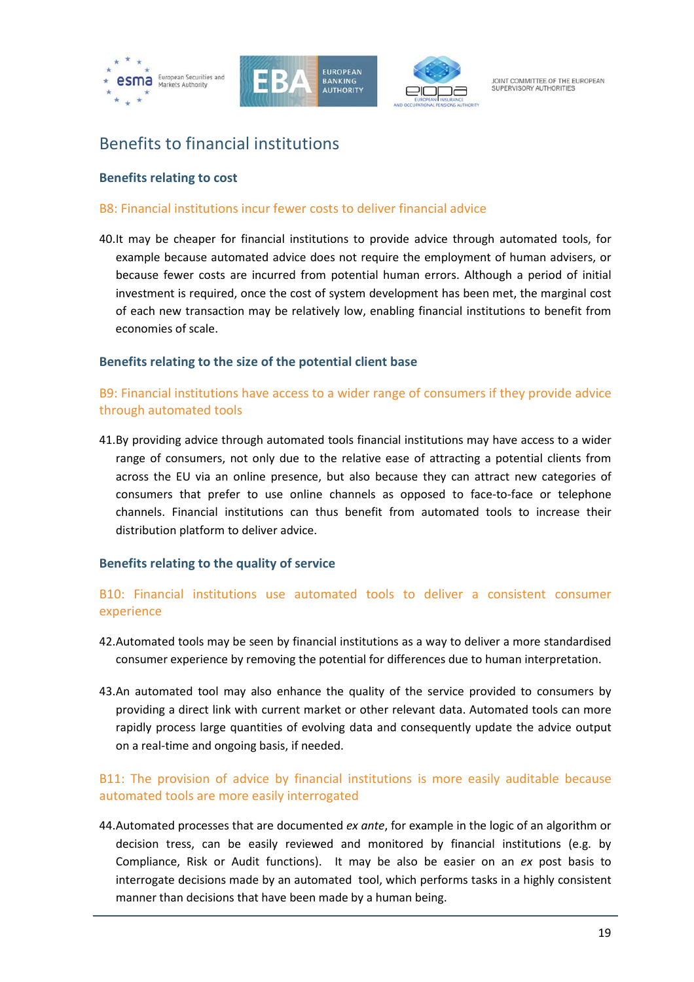





# <span id="page-18-0"></span>Benefits to financial institutions

#### <span id="page-18-1"></span>**Benefits relating to cost**

#### B8: Financial institutions incur fewer costs to deliver financial advice

40.It may be cheaper for financial institutions to provide advice through automated tools, for example because automated advice does not require the employment of human advisers, or because fewer costs are incurred from potential human errors. Although a period of initial investment is required, once the cost of system development has been met, the marginal cost of each new transaction may be relatively low, enabling financial institutions to benefit from economies of scale.

#### <span id="page-18-2"></span>**Benefits relating to the size of the potential client base**

### B9: Financial institutions have access to a wider range of consumers if they provide advice through automated tools

41.By providing advice through automated tools financial institutions may have access to a wider range of consumers, not only due to the relative ease of attracting a potential clients from across the EU via an online presence, but also because they can attract new categories of consumers that prefer to use online channels as opposed to face-to-face or telephone channels. Financial institutions can thus benefit from automated tools to increase their distribution platform to deliver advice.

#### <span id="page-18-3"></span>**Benefits relating to the quality of service**

### B10: Financial institutions use automated tools to deliver a consistent consumer experience

- 42.Automated tools may be seen by financial institutions as a way to deliver a more standardised consumer experience by removing the potential for differences due to human interpretation.
- 43.An automated tool may also enhance the quality of the service provided to consumers by providing a direct link with current market or other relevant data. Automated tools can more rapidly process large quantities of evolving data and consequently update the advice output on a real-time and ongoing basis, if needed.

### B11: The provision of advice by financial institutions is more easily auditable because automated tools are more easily interrogated

44.Automated processes that are documented *ex ante*, for example in the logic of an algorithm or decision tress, can be easily reviewed and monitored by financial institutions (e.g. by Compliance, Risk or Audit functions). It may be also be easier on an *ex* post basis to interrogate decisions made by an automated tool, which performs tasks in a highly consistent manner than decisions that have been made by a human being.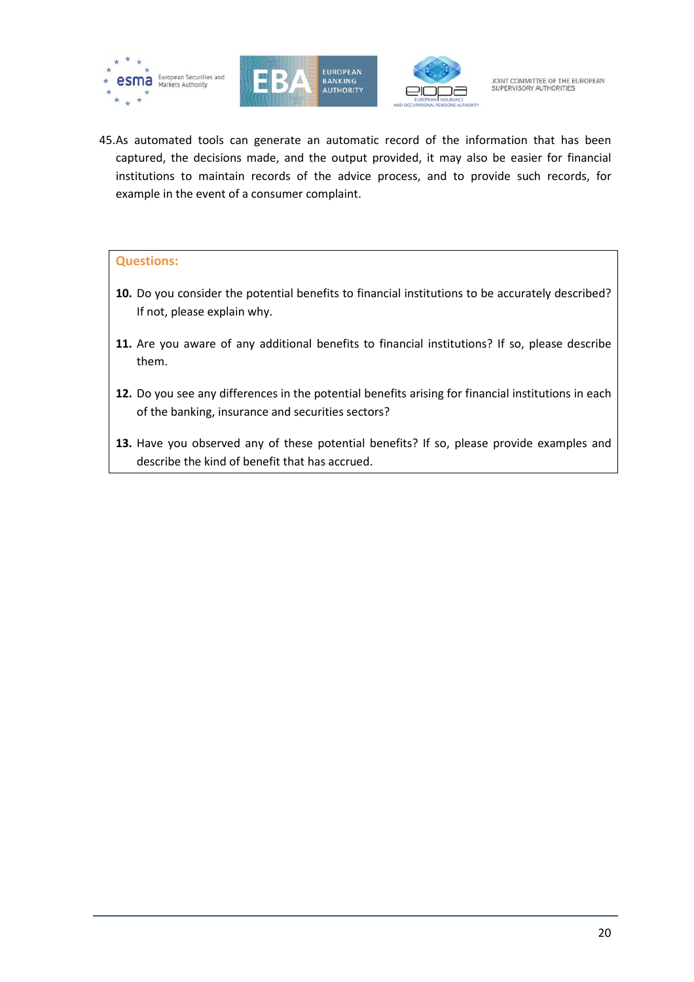





45.As automated tools can generate an automatic record of the information that has been captured, the decisions made, and the output provided, it may also be easier for financial institutions to maintain records of the advice process, and to provide such records, for example in the event of a consumer complaint.

#### **Questions:**

- **10.** Do you consider the potential benefits to financial institutions to be accurately described? If not, please explain why.
- **11.** Are you aware of any additional benefits to financial institutions? If so, please describe them.
- **12.** Do you see any differences in the potential benefits arising for financial institutions in each of the banking, insurance and securities sectors?
- **13.** Have you observed any of these potential benefits? If so, please provide examples and describe the kind of benefit that has accrued.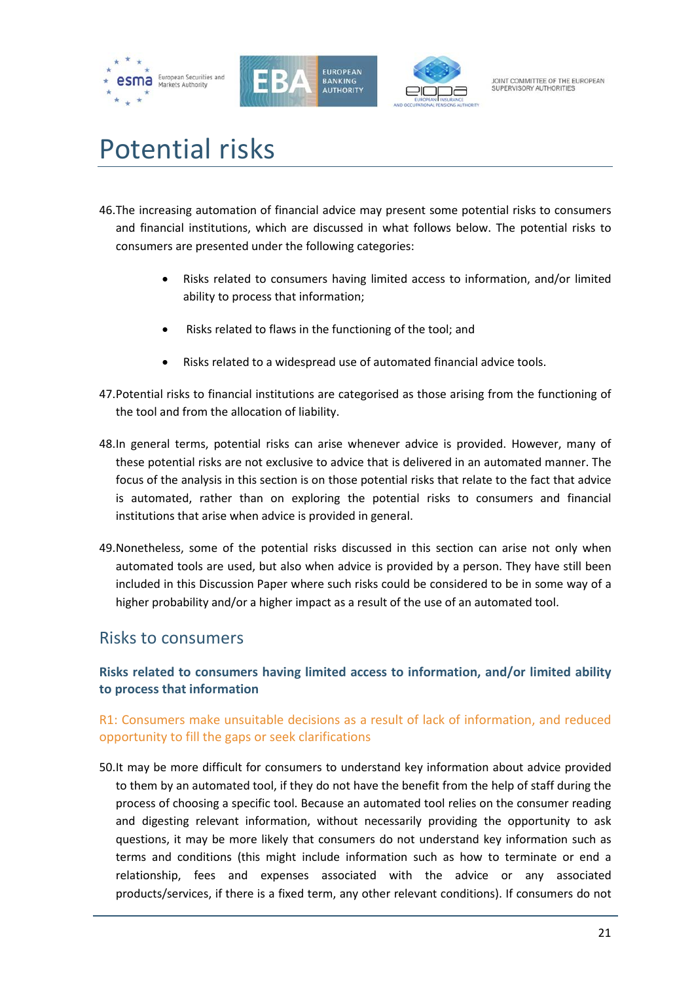





# <span id="page-20-0"></span>Potential risks

- 46.The increasing automation of financial advice may present some potential risks to consumers and financial institutions, which are discussed in what follows below. The potential risks to consumers are presented under the following categories:
	- Risks related to consumers having limited access to information, and/or limited ability to process that information;
	- Risks related to flaws in the functioning of the tool; and
	- Risks related to a widespread use of automated financial advice tools.
- 47.Potential risks to financial institutions are categorised as those arising from the functioning of the tool and from the allocation of liability.
- 48.In general terms, potential risks can arise whenever advice is provided. However, many of these potential risks are not exclusive to advice that is delivered in an automated manner. The focus of the analysis in this section is on those potential risks that relate to the fact that advice is automated, rather than on exploring the potential risks to consumers and financial institutions that arise when advice is provided in general.
- 49.Nonetheless, some of the potential risks discussed in this section can arise not only when automated tools are used, but also when advice is provided by a person. They have still been included in this Discussion Paper where such risks could be considered to be in some way of a higher probability and/or a higher impact as a result of the use of an automated tool.

# <span id="page-20-1"></span>Risks to consumers

# <span id="page-20-2"></span>**Risks related to consumers having limited access to information, and/or limited ability to process that information**

# R1: Consumers make unsuitable decisions as a result of lack of information, and reduced opportunity to fill the gaps or seek clarifications

50.It may be more difficult for consumers to understand key information about advice provided to them by an automated tool, if they do not have the benefit from the help of staff during the process of choosing a specific tool. Because an automated tool relies on the consumer reading and digesting relevant information, without necessarily providing the opportunity to ask questions, it may be more likely that consumers do not understand key information such as terms and conditions (this might include information such as how to terminate or end a relationship, fees and expenses associated with the advice or any associated products/services, if there is a fixed term, any other relevant conditions). If consumers do not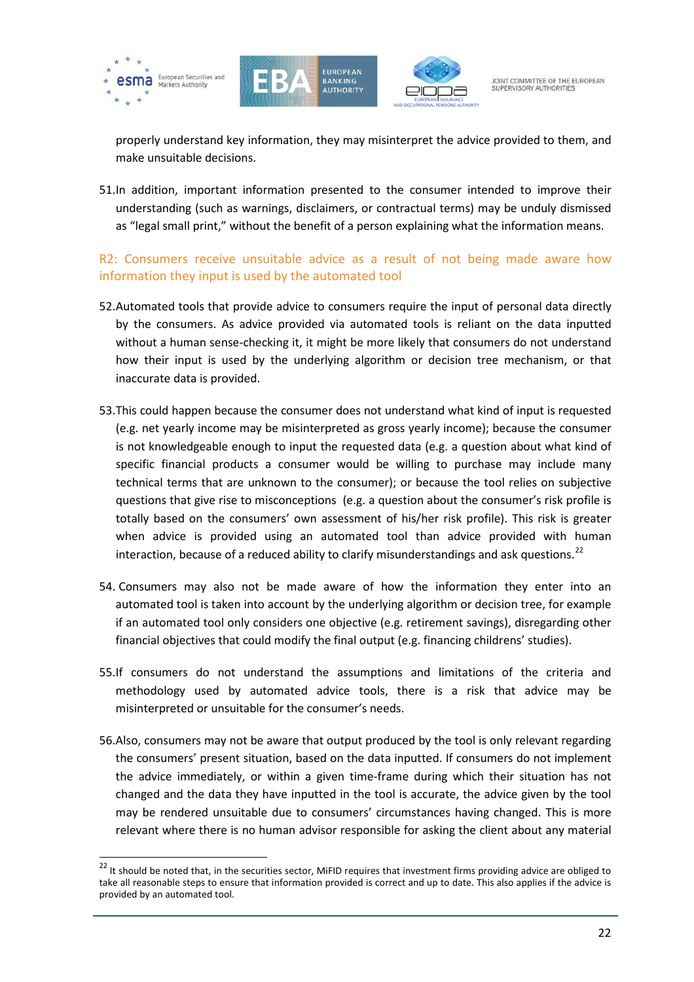

 $\overline{a}$ 





JOINT COMMITTEE OF THE FUROPEAN SUPERVISORY AUTHORITIES

properly understand key information, they may misinterpret the advice provided to them, and make unsuitable decisions.

51.In addition, important information presented to the consumer intended to improve their understanding (such as warnings, disclaimers, or contractual terms) may be unduly dismissed as "legal small print," without the benefit of a person explaining what the information means.

# R2: Consumers receive unsuitable advice as a result of not being made aware how information they input is used by the automated tool

- 52.Automated tools that provide advice to consumers require the input of personal data directly by the consumers. As advice provided via automated tools is reliant on the data inputted without a human sense-checking it, it might be more likely that consumers do not understand how their input is used by the underlying algorithm or decision tree mechanism, or that inaccurate data is provided.
- 53.This could happen because the consumer does not understand what kind of input is requested (e.g. net yearly income may be misinterpreted as gross yearly income); because the consumer is not knowledgeable enough to input the requested data (e.g. a question about what kind of specific financial products a consumer would be willing to purchase may include many technical terms that are unknown to the consumer); or because the tool relies on subjective questions that give rise to misconceptions (e.g. a question about the consumer's risk profile is totally based on the consumers' own assessment of his/her risk profile). This risk is greater when advice is provided using an automated tool than advice provided with human interaction, because of a reduced ability to clarify misunderstandings and ask questions.<sup>[22](#page-21-0)</sup>
- 54. Consumers may also not be made aware of how the information they enter into an automated tool is taken into account by the underlying algorithm or decision tree, for example if an automated tool only considers one objective (e.g. retirement savings), disregarding other financial objectives that could modify the final output (e.g. financing childrens' studies).
- 55.If consumers do not understand the assumptions and limitations of the criteria and methodology used by automated advice tools, there is a risk that advice may be misinterpreted or unsuitable for the consumer's needs.
- 56.Also, consumers may not be aware that output produced by the tool is only relevant regarding the consumers' present situation, based on the data inputted. If consumers do not implement the advice immediately, or within a given time-frame during which their situation has not changed and the data they have inputted in the tool is accurate, the advice given by the tool may be rendered unsuitable due to consumers' circumstances having changed. This is more relevant where there is no human advisor responsible for asking the client about any material

<span id="page-21-0"></span><sup>&</sup>lt;sup>22</sup> It should be noted that, in the securities sector, MiFID requires that investment firms providing advice are obliged to take all reasonable steps to ensure that information provided is correct and up to date. This also applies if the advice is provided by an automated tool.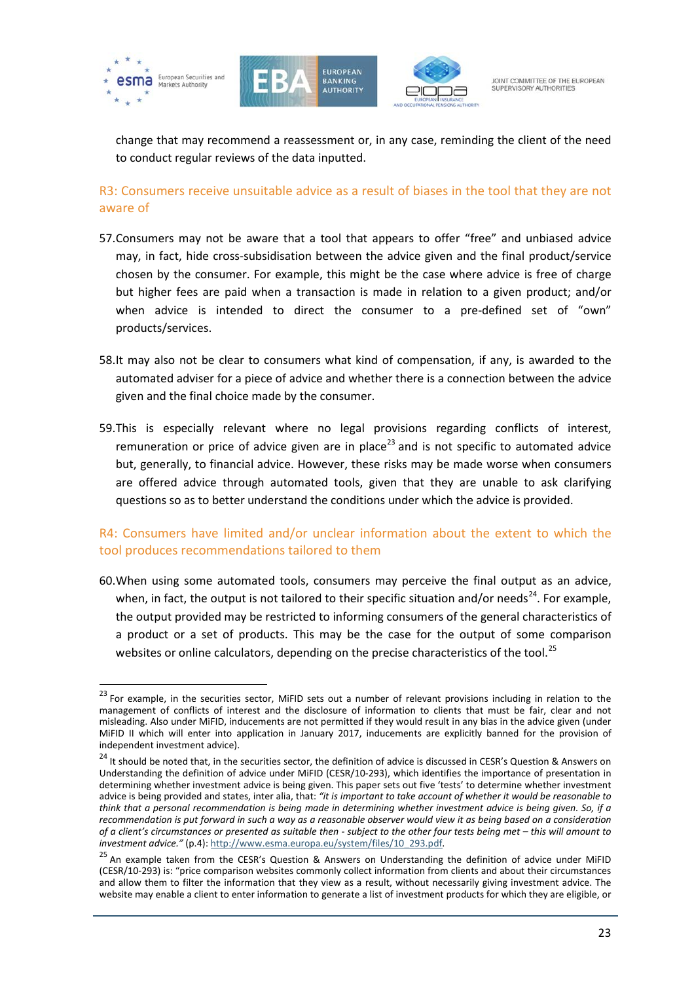

 $\overline{a}$ 





JOINT COMMITTEE OF THE FUROPEAN SUPERVISORY AUTHORITIES

change that may recommend a reassessment or, in any case, reminding the client of the need to conduct regular reviews of the data inputted.

R3: Consumers receive unsuitable advice as a result of biases in the tool that they are not aware of

- 57.Consumers may not be aware that a tool that appears to offer "free" and unbiased advice may, in fact, hide cross-subsidisation between the advice given and the final product/service chosen by the consumer. For example, this might be the case where advice is free of charge but higher fees are paid when a transaction is made in relation to a given product; and/or when advice is intended to direct the consumer to a pre-defined set of "own" products/services.
- 58.It may also not be clear to consumers what kind of compensation, if any, is awarded to the automated adviser for a piece of advice and whether there is a connection between the advice given and the final choice made by the consumer.
- 59.This is especially relevant where no legal provisions regarding conflicts of interest, remuneration or price of advice given are in place<sup>[23](#page-22-0)</sup> and is not specific to automated advice but, generally, to financial advice. However, these risks may be made worse when consumers are offered advice through automated tools, given that they are unable to ask clarifying questions so as to better understand the conditions under which the advice is provided.

# R4: Consumers have limited and/or unclear information about the extent to which the tool produces recommendations tailored to them

60.When using some automated tools, consumers may perceive the final output as an advice, when, in fact, the output is not tailored to their specific situation and/or needs<sup>[24](#page-22-1)</sup>. For example, the output provided may be restricted to informing consumers of the general characteristics of a product or a set of products. This may be the case for the output of some comparison websites or online calculators, depending on the precise characteristics of the tool.<sup>[25](#page-22-2)</sup>

<span id="page-22-0"></span><sup>&</sup>lt;sup>23</sup> For example, in the securities sector, MiFID sets out a number of relevant provisions including in relation to the management of conflicts of interest and the disclosure of information to clients that must be fair, clear and not misleading. Also under MiFID, inducements are not permitted if they would result in any bias in the advice given (under MiFID II which will enter into application in January 2017, inducements are explicitly banned for the provision of independent investment advice).

<span id="page-22-1"></span><sup>&</sup>lt;sup>24</sup> It should be noted that, in the securities sector, the definition of advice is discussed in CESR's Question & Answers on Understanding the definition of advice under MiFID (CESR/10-293), which identifies the importance of presentation in determining whether investment advice is being given. This paper sets out five 'tests' to determine whether investment advice is being provided and states, inter alia, that: *"it is important to take account of whether it would be reasonable to think that a personal recommendation is being made in determining whether investment advice is being given. So, if a recommendation is put forward in such a way as a reasonable observer would view it as being based on a consideration of a client's circumstances or presented as suitable then - subject to the other four tests being met – this will amount to* 

<span id="page-22-2"></span><sup>&</sup>lt;sup>25</sup> An example taken from the CESR's Question & Answers on Understanding the definition of advice under MiFID (CESR/10-293) is: "price comparison websites commonly collect information from clients and about their circumstances and allow them to filter the information that they view as a result, without necessarily giving investment advice. The website may enable a client to enter information to generate a list of investment products for which they are eligible, or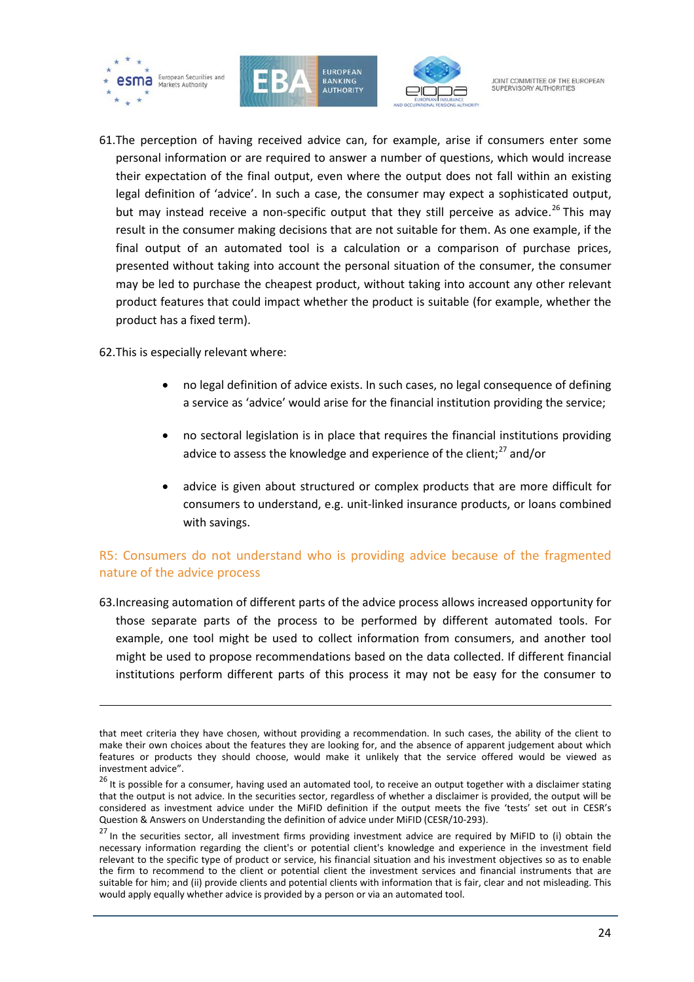





61.The perception of having received advice can, for example, arise if consumers enter some personal information or are required to answer a number of questions, which would increase their expectation of the final output, even where the output does not fall within an existing legal definition of 'advice'. In such a case, the consumer may expect a sophisticated output, but may instead receive a non-specific output that they still perceive as advice.<sup>[26](#page-23-0)</sup> This may result in the consumer making decisions that are not suitable for them. As one example, if the final output of an automated tool is a calculation or a comparison of purchase prices, presented without taking into account the personal situation of the consumer, the consumer may be led to purchase the cheapest product, without taking into account any other relevant product features that could impact whether the product is suitable (for example, whether the product has a fixed term).

62.This is especially relevant where:

**.** 

- no legal definition of advice exists. In such cases, no legal consequence of defining a service as 'advice' would arise for the financial institution providing the service;
- no sectoral legislation is in place that requires the financial institutions providing advice to assess the knowledge and experience of the client;<sup>[27](#page-23-1)</sup> and/or
- advice is given about structured or complex products that are more difficult for consumers to understand, e.g. unit-linked insurance products, or loans combined with savings.

# R5: Consumers do not understand who is providing advice because of the fragmented nature of the advice process

63.Increasing automation of different parts of the advice process allows increased opportunity for those separate parts of the process to be performed by different automated tools. For example, one tool might be used to collect information from consumers, and another tool might be used to propose recommendations based on the data collected. If different financial institutions perform different parts of this process it may not be easy for the consumer to

that meet criteria they have chosen, without providing a recommendation. In such cases, the ability of the client to make their own choices about the features they are looking for, and the absence of apparent judgement about which features or products they should choose, would make it unlikely that the service offered would be viewed as

<span id="page-23-0"></span>investment advice".<br><sup>26</sup> It is possible for a consumer, having used an automated tool, to receive an output together with a disclaimer stating that the output is not advice. In the securities sector, regardless of whether a disclaimer is provided, the output will be considered as investment advice under the MiFID definition if the output meets the five 'tests' set out in CESR's Question & Answers on Understanding the definition of advice under MiFID (CESR/10-293).

<span id="page-23-1"></span><sup>&</sup>lt;sup>27</sup> In the securities sector, all investment firms providing investment advice are required by MiFID to (i) obtain the necessary information regarding the client's or potential client's knowledge and experience in the investment field relevant to the specific type of product or service, his financial situation and his investment objectives so as to enable the firm to recommend to the client or potential client the investment services and financial instruments that are suitable for him; and (ii) provide clients and potential clients with information that is fair, clear and not misleading. This would apply equally whether advice is provided by a person or via an automated tool.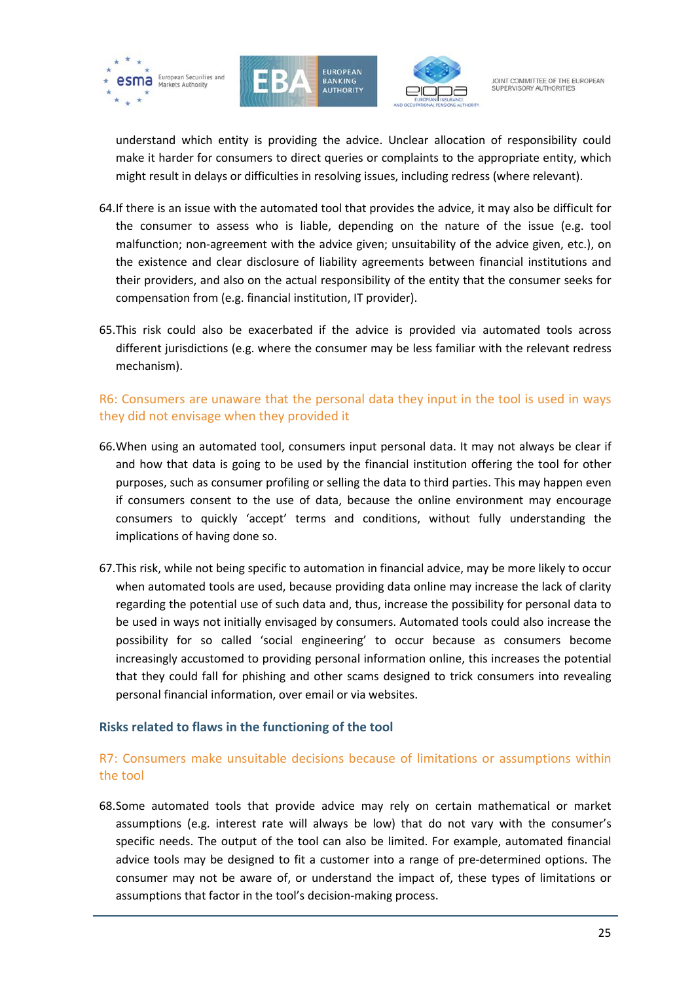





understand which entity is providing the advice. Unclear allocation of responsibility could make it harder for consumers to direct queries or complaints to the appropriate entity, which might result in delays or difficulties in resolving issues, including redress (where relevant).

- 64.If there is an issue with the automated tool that provides the advice, it may also be difficult for the consumer to assess who is liable, depending on the nature of the issue (e.g. tool malfunction; non-agreement with the advice given; unsuitability of the advice given, etc.), on the existence and clear disclosure of liability agreements between financial institutions and their providers, and also on the actual responsibility of the entity that the consumer seeks for compensation from (e.g. financial institution, IT provider).
- 65.This risk could also be exacerbated if the advice is provided via automated tools across different jurisdictions (e.g. where the consumer may be less familiar with the relevant redress mechanism).

# R6: Consumers are unaware that the personal data they input in the tool is used in ways they did not envisage when they provided it

- 66.When using an automated tool, consumers input personal data. It may not always be clear if and how that data is going to be used by the financial institution offering the tool for other purposes, such as consumer profiling or selling the data to third parties. This may happen even if consumers consent to the use of data, because the online environment may encourage consumers to quickly 'accept' terms and conditions, without fully understanding the implications of having done so.
- 67.This risk, while not being specific to automation in financial advice, may be more likely to occur when automated tools are used, because providing data online may increase the lack of clarity regarding the potential use of such data and, thus, increase the possibility for personal data to be used in ways not initially envisaged by consumers. Automated tools could also increase the possibility for so called 'social engineering' to occur because as consumers become increasingly accustomed to providing personal information online, this increases the potential that they could fall for phishing and other scams designed to trick consumers into revealing personal financial information, over email or via websites.

#### <span id="page-24-0"></span>**Risks related to flaws in the functioning of the tool**

# R7: Consumers make unsuitable decisions because of limitations or assumptions within the tool

68.Some automated tools that provide advice may rely on certain mathematical or market assumptions (e.g. interest rate will always be low) that do not vary with the consumer's specific needs. The output of the tool can also be limited. For example, automated financial advice tools may be designed to fit a customer into a range of pre-determined options. The consumer may not be aware of, or understand the impact of, these types of limitations or assumptions that factor in the tool's decision-making process.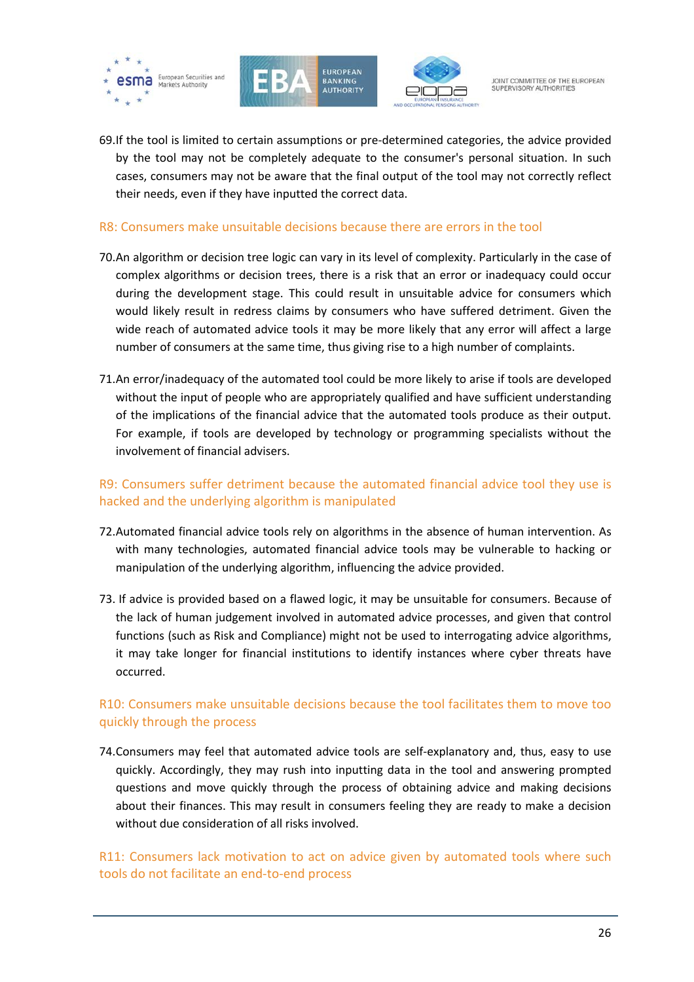





69.If the tool is limited to certain assumptions or pre-determined categories, the advice provided by the tool may not be completely adequate to the consumer's personal situation. In such cases, consumers may not be aware that the final output of the tool may not correctly reflect their needs, even if they have inputted the correct data.

#### R8: Consumers make unsuitable decisions because there are errors in the tool

- 70.An algorithm or decision tree logic can vary in its level of complexity. Particularly in the case of complex algorithms or decision trees, there is a risk that an error or inadequacy could occur during the development stage. This could result in unsuitable advice for consumers which would likely result in redress claims by consumers who have suffered detriment. Given the wide reach of automated advice tools it may be more likely that any error will affect a large number of consumers at the same time, thus giving rise to a high number of complaints.
- 71.An error/inadequacy of the automated tool could be more likely to arise if tools are developed without the input of people who are appropriately qualified and have sufficient understanding of the implications of the financial advice that the automated tools produce as their output. For example, if tools are developed by technology or programming specialists without the involvement of financial advisers.

### R9: Consumers suffer detriment because the automated financial advice tool they use is hacked and the underlying algorithm is manipulated

- 72.Automated financial advice tools rely on algorithms in the absence of human intervention. As with many technologies, automated financial advice tools may be vulnerable to hacking or manipulation of the underlying algorithm, influencing the advice provided.
- 73. If advice is provided based on a flawed logic, it may be unsuitable for consumers. Because of the lack of human judgement involved in automated advice processes, and given that control functions (such as Risk and Compliance) might not be used to interrogating advice algorithms, it may take longer for financial institutions to identify instances where cyber threats have occurred.

# R10: Consumers make unsuitable decisions because the tool facilitates them to move too quickly through the process

74.Consumers may feel that automated advice tools are self-explanatory and, thus, easy to use quickly. Accordingly, they may rush into inputting data in the tool and answering prompted questions and move quickly through the process of obtaining advice and making decisions about their finances. This may result in consumers feeling they are ready to make a decision without due consideration of all risks involved.

### R11: Consumers lack motivation to act on advice given by automated tools where such tools do not facilitate an end-to-end process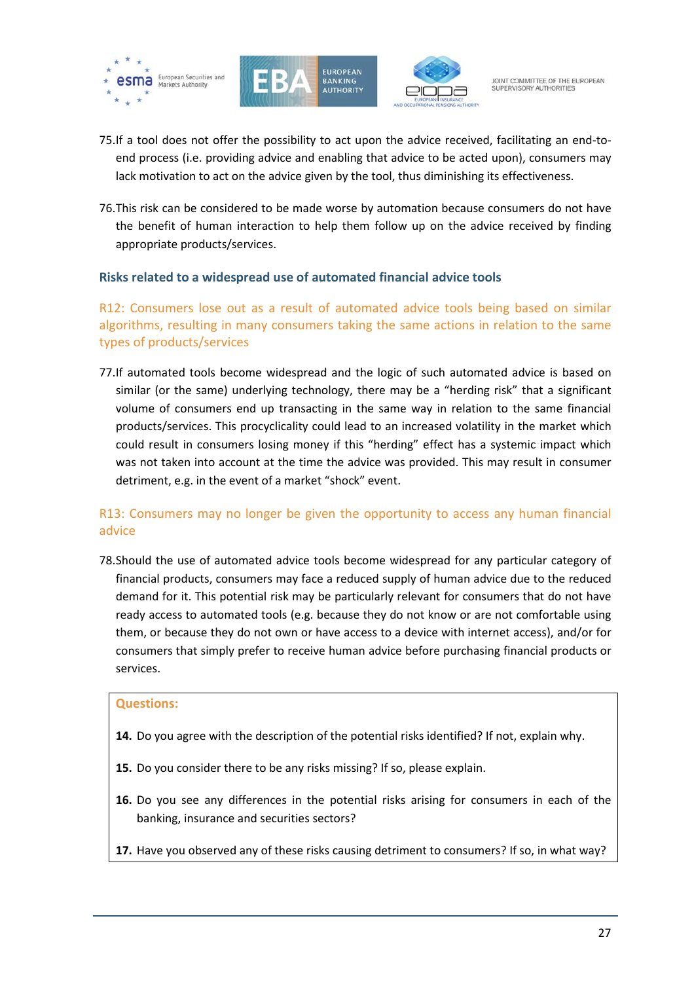





- 75.If a tool does not offer the possibility to act upon the advice received, facilitating an end-toend process (i.e. providing advice and enabling that advice to be acted upon), consumers may lack motivation to act on the advice given by the tool, thus diminishing its effectiveness.
- 76.This risk can be considered to be made worse by automation because consumers do not have the benefit of human interaction to help them follow up on the advice received by finding appropriate products/services.

#### <span id="page-26-0"></span>**Risks related to a widespread use of automated financial advice tools**

R12: Consumers lose out as a result of automated advice tools being based on similar algorithms, resulting in many consumers taking the same actions in relation to the same types of products/services

77.If automated tools become widespread and the logic of such automated advice is based on similar (or the same) underlying technology, there may be a "herding risk" that a significant volume of consumers end up transacting in the same way in relation to the same financial products/services. This procyclicality could lead to an increased volatility in the market which could result in consumers losing money if this "herding" effect has a systemic impact which was not taken into account at the time the advice was provided. This may result in consumer detriment, e.g. in the event of a market "shock" event.

# R13: Consumers may no longer be given the opportunity to access any human financial advice

78.Should the use of automated advice tools become widespread for any particular category of financial products, consumers may face a reduced supply of human advice due to the reduced demand for it. This potential risk may be particularly relevant for consumers that do not have ready access to automated tools (e.g. because they do not know or are not comfortable using them, or because they do not own or have access to a device with internet access), and/or for consumers that simply prefer to receive human advice before purchasing financial products or services.

#### **Questions:**

- **14.** Do you agree with the description of the potential risks identified? If not, explain why.
- **15.** Do you consider there to be any risks missing? If so, please explain.
- **16.** Do you see any differences in the potential risks arising for consumers in each of the banking, insurance and securities sectors?
- **17.** Have you observed any of these risks causing detriment to consumers? If so, in what way?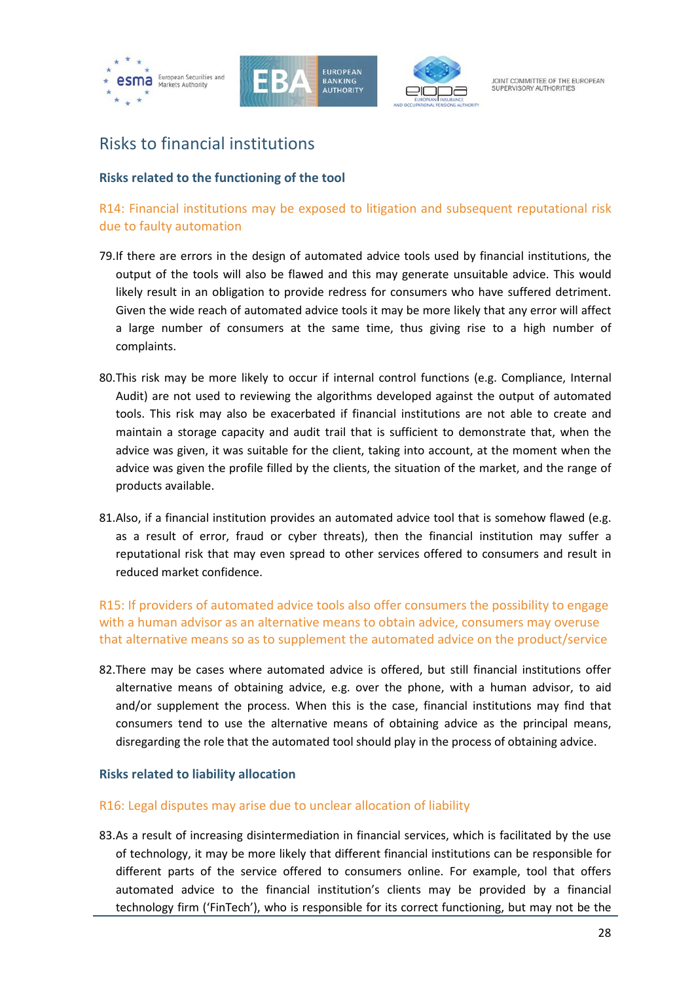





# <span id="page-27-0"></span>Risks to financial institutions

### <span id="page-27-1"></span>**Risks related to the functioning of the tool**

# R14: Financial institutions may be exposed to litigation and subsequent reputational risk due to faulty automation

- 79.If there are errors in the design of automated advice tools used by financial institutions, the output of the tools will also be flawed and this may generate unsuitable advice. This would likely result in an obligation to provide redress for consumers who have suffered detriment. Given the wide reach of automated advice tools it may be more likely that any error will affect a large number of consumers at the same time, thus giving rise to a high number of complaints.
- 80.This risk may be more likely to occur if internal control functions (e.g. Compliance, Internal Audit) are not used to reviewing the algorithms developed against the output of automated tools. This risk may also be exacerbated if financial institutions are not able to create and maintain a storage capacity and audit trail that is sufficient to demonstrate that, when the advice was given, it was suitable for the client, taking into account, at the moment when the advice was given the profile filled by the clients, the situation of the market, and the range of products available.
- 81.Also, if a financial institution provides an automated advice tool that is somehow flawed (e.g. as a result of error, fraud or cyber threats), then the financial institution may suffer a reputational risk that may even spread to other services offered to consumers and result in reduced market confidence.

R15: If providers of automated advice tools also offer consumers the possibility to engage with a human advisor as an alternative means to obtain advice, consumers may overuse that alternative means so as to supplement the automated advice on the product/service

82.There may be cases where automated advice is offered, but still financial institutions offer alternative means of obtaining advice, e.g. over the phone, with a human advisor, to aid and/or supplement the process. When this is the case, financial institutions may find that consumers tend to use the alternative means of obtaining advice as the principal means, disregarding the role that the automated tool should play in the process of obtaining advice.

#### <span id="page-27-2"></span>**Risks related to liability allocation**

#### R16: Legal disputes may arise due to unclear allocation of liability

83.As a result of increasing disintermediation in financial services, which is facilitated by the use of technology, it may be more likely that different financial institutions can be responsible for different parts of the service offered to consumers online. For example, tool that offers automated advice to the financial institution's clients may be provided by a financial technology firm ('FinTech'), who is responsible for its correct functioning, but may not be the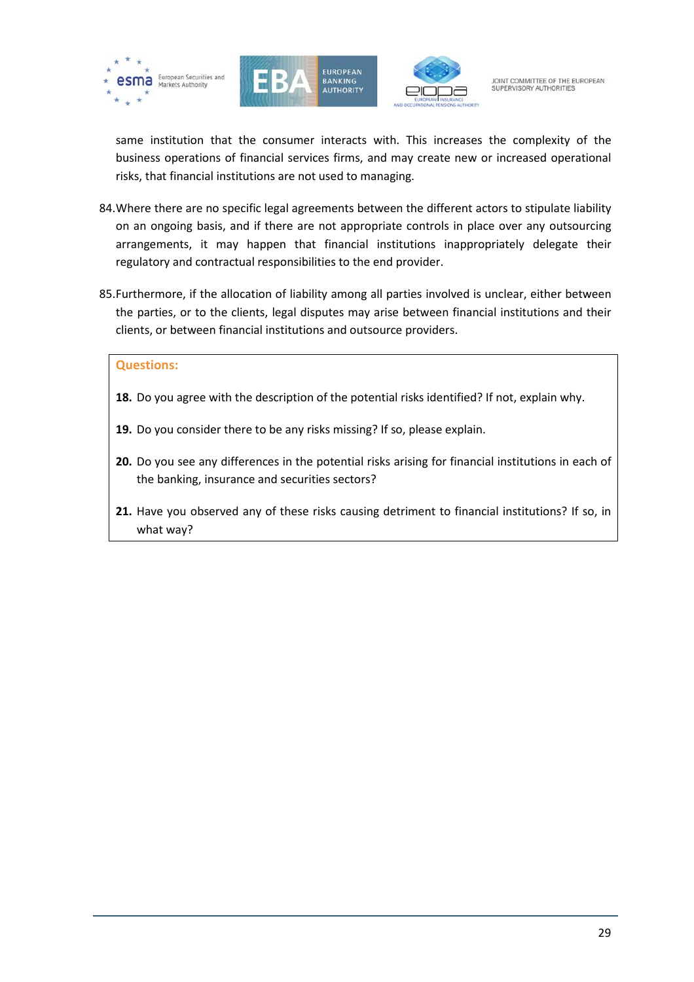





same institution that the consumer interacts with. This increases the complexity of the business operations of financial services firms, and may create new or increased operational risks, that financial institutions are not used to managing.

- 84.Where there are no specific legal agreements between the different actors to stipulate liability on an ongoing basis, and if there are not appropriate controls in place over any outsourcing arrangements, it may happen that financial institutions inappropriately delegate their regulatory and contractual responsibilities to the end provider.
- 85.Furthermore, if the allocation of liability among all parties involved is unclear, either between the parties, or to the clients, legal disputes may arise between financial institutions and their clients, or between financial institutions and outsource providers.

#### **Questions:**

- **18.** Do you agree with the description of the potential risks identified? If not, explain why.
- **19.** Do you consider there to be any risks missing? If so, please explain.
- **20.** Do you see any differences in the potential risks arising for financial institutions in each of the banking, insurance and securities sectors?
- **21.** Have you observed any of these risks causing detriment to financial institutions? If so, in what way?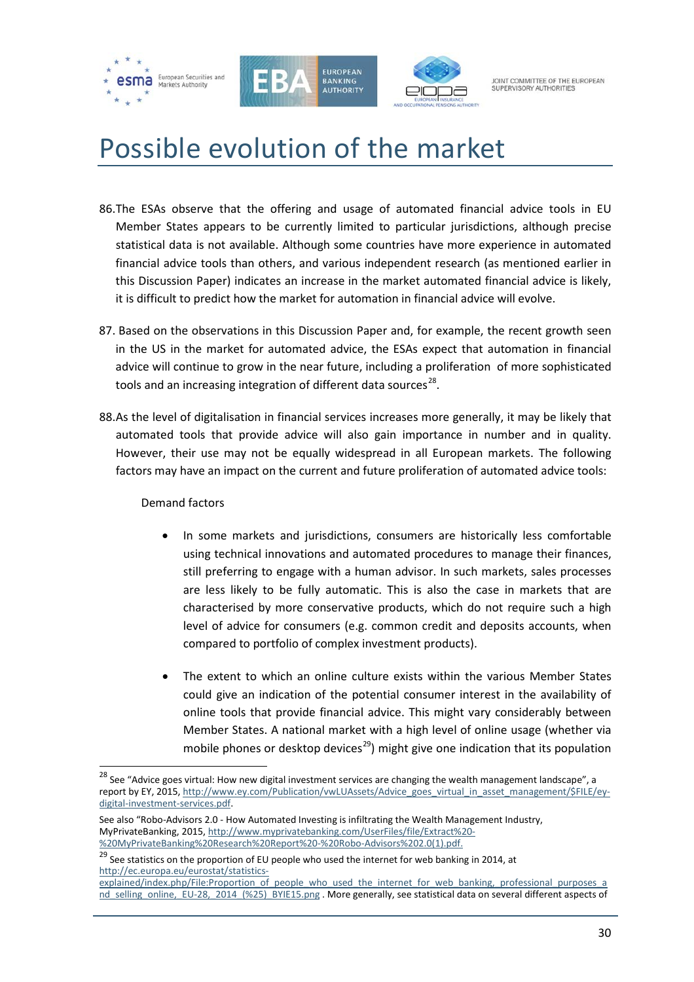





# <span id="page-29-0"></span>Possible evolution of the market

- 86.The ESAs observe that the offering and usage of automated financial advice tools in EU Member States appears to be currently limited to particular jurisdictions, although precise statistical data is not available. Although some countries have more experience in automated financial advice tools than others, and various independent research (as mentioned earlier in this Discussion Paper) indicates an increase in the market automated financial advice is likely, it is difficult to predict how the market for automation in financial advice will evolve.
- 87. Based on the observations in this Discussion Paper and, for example, the recent growth seen in the US in the market for automated advice, the ESAs expect that automation in financial advice will continue to grow in the near future, including a proliferation of more sophisticated tools and an increasing integration of different data sources<sup>[28](#page-29-1)</sup>.
- 88.As the level of digitalisation in financial services increases more generally, it may be likely that automated tools that provide advice will also gain importance in number and in quality. However, their use may not be equally widespread in all European markets. The following factors may have an impact on the current and future proliferation of automated advice tools:

#### Demand factors

 $\overline{a}$ 

- In some markets and jurisdictions, consumers are historically less comfortable using technical innovations and automated procedures to manage their finances, still preferring to engage with a human advisor. In such markets, sales processes are less likely to be fully automatic. This is also the case in markets that are characterised by more conservative products, which do not require such a high level of advice for consumers (e.g. common credit and deposits accounts, when compared to portfolio of complex investment products).
- The extent to which an online culture exists within the various Member States could give an indication of the potential consumer interest in the availability of online tools that provide financial advice. This might vary considerably between Member States. A national market with a high level of online usage (whether via mobile phones or desktop devices<sup>[29](#page-29-2)</sup>) might give one indication that its population

<span id="page-29-1"></span> $^{28}$  See "Advice goes virtual: How new digital investment services are changing the wealth management landscape", a report by EY, 2015, [http://www.ey.com/Publication/vwLUAssets/Advice\\_goes\\_virtual\\_in\\_asset\\_management/\\$FILE/ey](http://www.ey.com/Publication/vwLUAssets/Advice_goes_virtual_in_asset_management/$FILE/ey-digital-investment-services.pdf)[digital-investment-services.pdf.](http://www.ey.com/Publication/vwLUAssets/Advice_goes_virtual_in_asset_management/$FILE/ey-digital-investment-services.pdf)

See also "Robo-Advisors 2.0 - How Automated Investing is infiltrating the Wealth Management Industry, MyPrivateBanking, 2015, [http://www.myprivatebanking.com/UserFiles/file/Extract%20-](http://www.myprivatebanking.com/UserFiles/file/Extract%20-%20MyPrivateBanking%20Research%20Report%20-%20Robo-Advisors%202.0(1).pdf)

<span id="page-29-2"></span>[<sup>%20</sup>MyPrivateBanking%20Research%20Report%20-%20Robo-Advisors%202.0\(1\).pdf.](http://www.myprivatebanking.com/UserFiles/file/Extract%20-%20MyPrivateBanking%20Research%20Report%20-%20Robo-Advisors%202.0(1).pdf) 29 See statistics on the proportion of EU people who used the internet for web banking in 2014, at [http://ec.europa.eu/eurostat/statistics-](http://ec.europa.eu/eurostat/statistics-explained/index.php/File:Proportion_of_people_who_used_the_internet_for_web_banking,_professional_purposes_and_selling_online,_EU-28,_2014_(%25)_BYIE15.png)

[explained/index.php/File:Proportion\\_of\\_people\\_who\\_used\\_the\\_internet\\_for\\_web\\_banking,\\_professional\\_purposes\\_a](http://ec.europa.eu/eurostat/statistics-explained/index.php/File:Proportion_of_people_who_used_the_internet_for_web_banking,_professional_purposes_and_selling_online,_EU-28,_2014_(%25)_BYIE15.png) [nd\\_selling\\_online,\\_EU-28,\\_2014\\_\(%25\)\\_BYIE15.png](http://ec.europa.eu/eurostat/statistics-explained/index.php/File:Proportion_of_people_who_used_the_internet_for_web_banking,_professional_purposes_and_selling_online,_EU-28,_2014_(%25)_BYIE15.png) . More generally, see statistical data on several different aspects of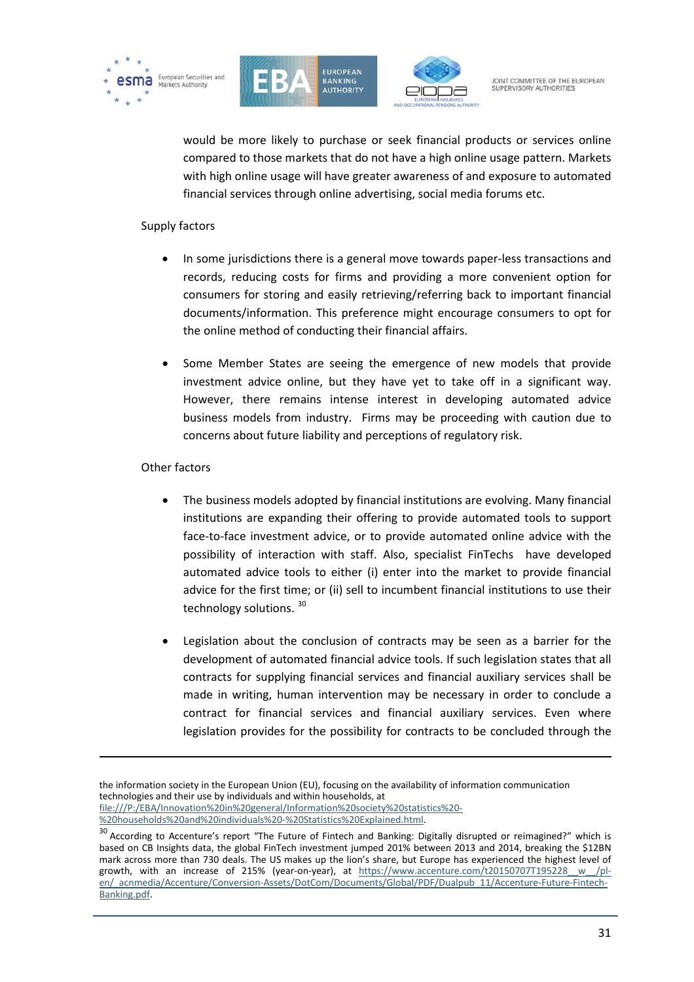





would be more likely to purchase or seek financial products or services online compared to those markets that do not have a high online usage pattern. Markets with high online usage will have greater awareness of and exposure to automated financial services through online advertising, social media forums etc.

#### Supply factors

- In some jurisdictions there is a general move towards paper-less transactions and records, reducing costs for firms and providing a more convenient option for consumers for storing and easily retrieving/referring back to important financial documents/information. This preference might encourage consumers to opt for the online method of conducting their financial affairs.
- Some Member States are seeing the emergence of new models that provide investment advice online, but they have yet to take off in a significant way. However, there remains intense interest in developing automated advice business models from industry. Firms may be proceeding with caution due to concerns about future liability and perceptions of regulatory risk.

#### Other factors

1

- The business models adopted by financial institutions are evolving. Many financial institutions are expanding their offering to provide automated tools to support face-to-face investment advice, or to provide automated online advice with the possibility of interaction with staff. Also, specialist FinTechs have developed automated advice tools to either (i) enter into the market to provide financial advice for the first time; or (ii) sell to incumbent financial institutions to use their technology solutions. [30](#page-30-0)
- Legislation about the conclusion of contracts may be seen as a barrier for the development of automated financial advice tools. If such legislation states that all contracts for supplying financial services and financial auxiliary services shall be made in writing, human intervention may be necessary in order to conclude a contract for financial services and financial auxiliary services. Even where legislation provides for the possibility for contracts to be concluded through the

the information society in the European Union (EU), focusing on the availability of information communication technologies and their use by individuals and within households, at file:///P:/EBA/Innovation%20in%20general/Information%20society%20statistics%20-

<span id="page-30-0"></span> $\frac{30}{20}$  According to Accenture's report "The Future of Fintech and Banking: Digitally disrupted or reimagined?" which is based on CB Insights data, the global FinTech investment jumped 201% between 2013 and 2014, breaking the \$12BN mark across more than 730 deals. The US makes up the lion's share, but Europe has experienced the highest level of growth, with an increase of 215% (year-on-year), at https://www.accenture.com/t20150707T195228 w /pl[en/\\_acnmedia/Accenture/Conversion-Assets/DotCom/Documents/Global/PDF/Dualpub\\_11/Accenture-Future-Fintech-](https://www.accenture.com/t20150707T195228__w__/pl-en/_acnmedia/Accenture/Conversion-Assets/DotCom/Documents/Global/PDF/Dualpub_11/Accenture-Future-Fintech-Banking.pdf)[Banking.pdf.](https://www.accenture.com/t20150707T195228__w__/pl-en/_acnmedia/Accenture/Conversion-Assets/DotCom/Documents/Global/PDF/Dualpub_11/Accenture-Future-Fintech-Banking.pdf)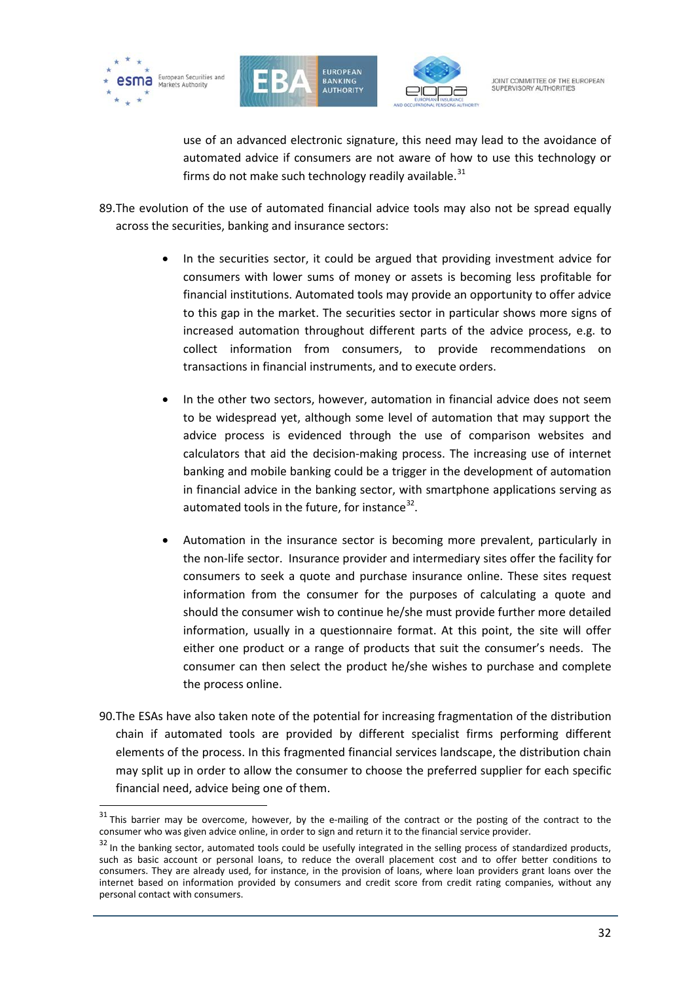

 $\overline{a}$ 





JOINT COMMITTEE OF THE FUROPEAN SUPERVISORY AUTHORITIES

use of an advanced electronic signature, this need may lead to the avoidance of automated advice if consumers are not aware of how to use this technology or firms do not make such technology readily available.<sup>[31](#page-31-0)</sup>

89.The evolution of the use of automated financial advice tools may also not be spread equally across the securities, banking and insurance sectors:

- In the securities sector, it could be argued that providing investment advice for consumers with lower sums of money or assets is becoming less profitable for financial institutions. Automated tools may provide an opportunity to offer advice to this gap in the market. The securities sector in particular shows more signs of increased automation throughout different parts of the advice process, e.g. to collect information from consumers, to provide recommendations on transactions in financial instruments, and to execute orders.
- In the other two sectors, however, automation in financial advice does not seem to be widespread yet, although some level of automation that may support the advice process is evidenced through the use of comparison websites and calculators that aid the decision-making process. The increasing use of internet banking and mobile banking could be a trigger in the development of automation in financial advice in the banking sector, with smartphone applications serving as automated tools in the future, for instance $32$ .
- Automation in the insurance sector is becoming more prevalent, particularly in the non-life sector. Insurance provider and intermediary sites offer the facility for consumers to seek a quote and purchase insurance online. These sites request information from the consumer for the purposes of calculating a quote and should the consumer wish to continue he/she must provide further more detailed information, usually in a questionnaire format. At this point, the site will offer either one product or a range of products that suit the consumer's needs. The consumer can then select the product he/she wishes to purchase and complete the process online.
- 90.The ESAs have also taken note of the potential for increasing fragmentation of the distribution chain if automated tools are provided by different specialist firms performing different elements of the process. In this fragmented financial services landscape, the distribution chain may split up in order to allow the consumer to choose the preferred supplier for each specific financial need, advice being one of them.

<span id="page-31-0"></span> $31$  This barrier may be overcome, however, by the e-mailing of the contract or the posting of the contract to the consumer who was given advice online, in order to sign and return it to the financial service provider.

<span id="page-31-1"></span> $32$  In the banking sector, automated tools could be usefully integrated in the selling process of standardized products, such as basic account or personal loans, to reduce the overall placement cost and to offer better conditions to consumers. They are already used, for instance, in the provision of loans, where loan providers grant loans over the internet based on information provided by consumers and credit score from credit rating companies, without any personal contact with consumers.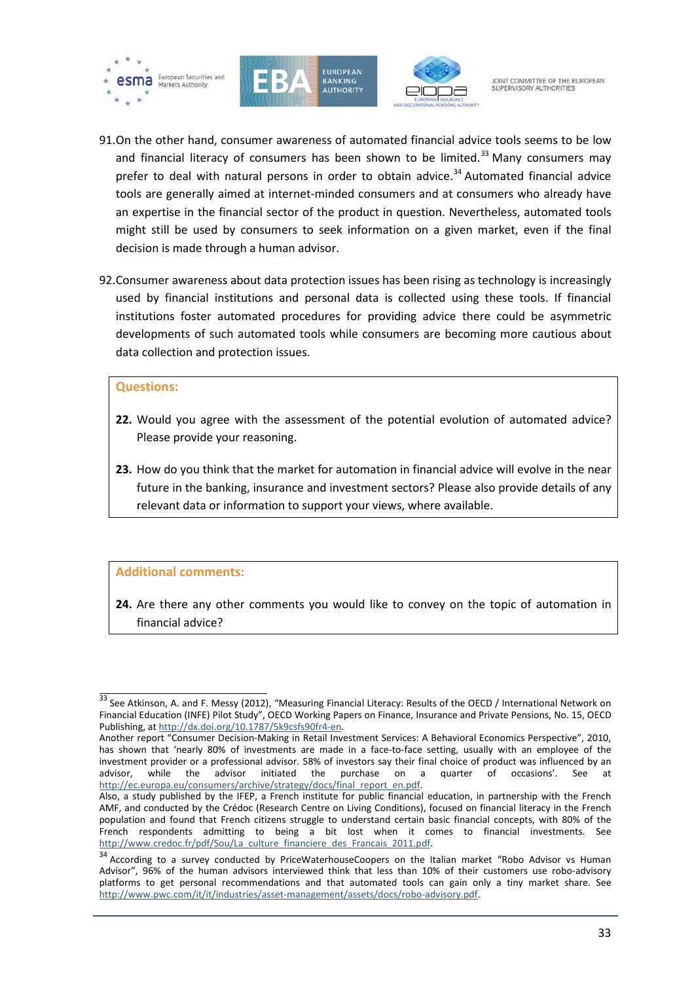





- 91.On the other hand, consumer awareness of automated financial advice tools seems to be low and financial literacy of consumers has been shown to be limited. $33$  Many consumers may prefer to deal with natural persons in order to obtain advice. [34](#page-32-1) Automated financial advice tools are generally aimed at internet-minded consumers and at consumers who already have an expertise in the financial sector of the product in question. Nevertheless, automated tools might still be used by consumers to seek information on a given market, even if the final decision is made through a human advisor.
- 92.Consumer awareness about data protection issues has been rising as technology is increasingly used by financial institutions and personal data is collected using these tools. If financial institutions foster automated procedures for providing advice there could be asymmetric developments of such automated tools while consumers are becoming more cautious about data collection and protection issues.

#### **Questions:**

- **22.** Would you agree with the assessment of the potential evolution of automated advice? Please provide your reasoning.
- **23.** How do you think that the market for automation in financial advice will evolve in the near future in the banking, insurance and investment sectors? Please also provide details of any relevant data or information to support your views, where available.

#### **Additional comments:**

**24.** Are there any other comments you would like to convey on the topic of automation in financial advice?

<span id="page-32-0"></span> $\frac{33}{33}$  See Atkinson, A. and F. Messy (2012), "Measuring Financial Literacy: Results of the OECD / International Network on Financial Education (INFE) Pilot Study", OECD Working Papers on Finance, Insurance and Private Pensions, No. 15, OECD Publishing, a[t http://dx.doi.org/10.1787/5k9csfs90fr4-en.](http://dx.doi.org/10.1787/5k9csfs90fr4-en)

Another report "Consumer Decision-Making in Retail Investment Services: A Behavioral Economics Perspective", 2010, has shown that 'nearly 80% of investments are made in a face-to-face setting, usually with an employee of the investment provider or a professional advisor. 58% of investors say their final choice of product was influenced by an advisor initiated the purchase on a quarter of occasions'. See at advisor, while the advisor initiated the purchase on a quarter of occasions'. See http://ec.europa.eu/consumers/archive/strategy/docs/final\_report\_en.pdf.

Also, a study published by the IFEP, a French institute for public financial education, in partnership with the French AMF, and conducted by the Crédoc (Research Centre on Living Conditions), focused on financial literacy in the French population and found that French citizens struggle to understand certain basic financial concepts, with 80% of the French respondents admitting to being a bit lost when it comes to financial investments.<br>http://www.credoc.fr/pdf/Sou/La culture financiere des Francais 2011.pdf.

<span id="page-32-1"></span><sup>&</sup>lt;sup>34</sup> According to a survey conducted by PriceWaterhouseCoopers on the Italian market "Robo Advisor vs Human Advisor", 96% of the human advisors interviewed think that less than 10% of their customers use robo-advisory platforms to get personal recommendations and that automated tools can gain only a tiny market share. See [http://www.pwc.com/it/it/industries/asset-management/assets/docs/robo-advisory.pdf.](http://www.pwc.com/it/it/industries/asset-management/assets/docs/robo-advisory.pdf)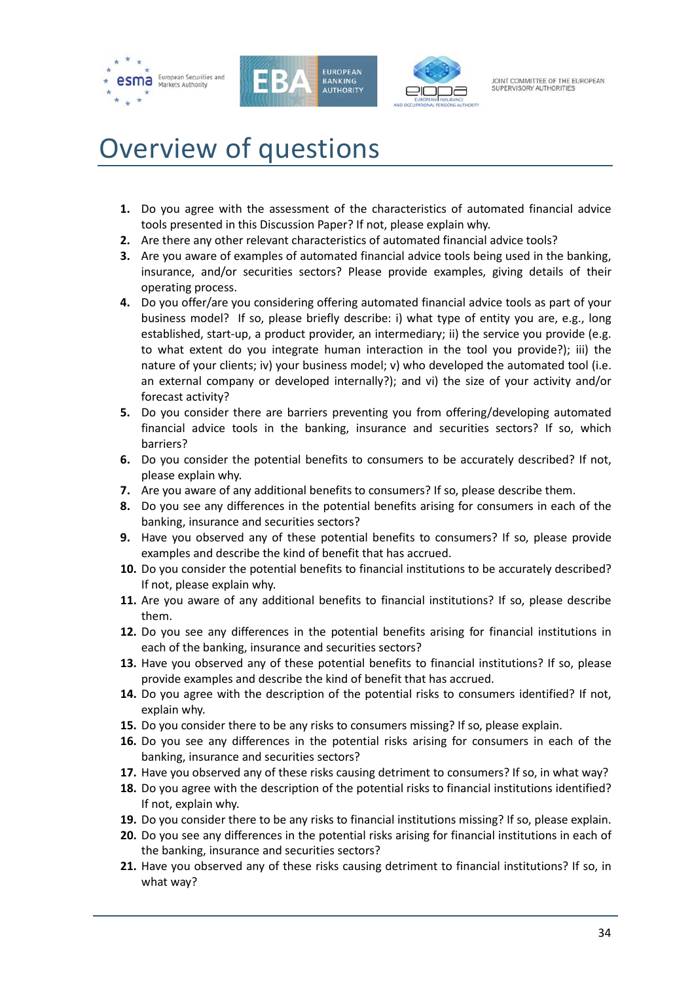





# <span id="page-33-0"></span>Overview of questions

- **1.** Do you agree with the assessment of the characteristics of automated financial advice tools presented in this Discussion Paper? If not, please explain why.
- **2.** Are there any other relevant characteristics of automated financial advice tools?
- **3.** Are you aware of examples of automated financial advice tools being used in the banking, insurance, and/or securities sectors? Please provide examples, giving details of their operating process.
- **4.** Do you offer/are you considering offering automated financial advice tools as part of your business model? If so, please briefly describe: i) what type of entity you are, e.g., long established, start-up, a product provider, an intermediary; ii) the service you provide (e.g. to what extent do you integrate human interaction in the tool you provide?); iii) the nature of your clients; iv) your business model; v) who developed the automated tool (i.e. an external company or developed internally?); and vi) the size of your activity and/or forecast activity?
- **5.** Do you consider there are barriers preventing you from offering/developing automated financial advice tools in the banking, insurance and securities sectors? If so, which barriers?
- **6.** Do you consider the potential benefits to consumers to be accurately described? If not, please explain why.
- **7.** Are you aware of any additional benefits to consumers? If so, please describe them.
- **8.** Do you see any differences in the potential benefits arising for consumers in each of the banking, insurance and securities sectors?
- **9.** Have you observed any of these potential benefits to consumers? If so, please provide examples and describe the kind of benefit that has accrued.
- **10.** Do you consider the potential benefits to financial institutions to be accurately described? If not, please explain why.
- **11.** Are you aware of any additional benefits to financial institutions? If so, please describe them.
- **12.** Do you see any differences in the potential benefits arising for financial institutions in each of the banking, insurance and securities sectors?
- **13.** Have you observed any of these potential benefits to financial institutions? If so, please provide examples and describe the kind of benefit that has accrued.
- **14.** Do you agree with the description of the potential risks to consumers identified? If not, explain why.
- **15.** Do you consider there to be any risks to consumers missing? If so, please explain.
- **16.** Do you see any differences in the potential risks arising for consumers in each of the banking, insurance and securities sectors?
- **17.** Have you observed any of these risks causing detriment to consumers? If so, in what way?
- **18.** Do you agree with the description of the potential risks to financial institutions identified? If not, explain why.
- **19.** Do you consider there to be any risks to financial institutions missing? If so, please explain.
- **20.** Do you see any differences in the potential risks arising for financial institutions in each of the banking, insurance and securities sectors?
- **21.** Have you observed any of these risks causing detriment to financial institutions? If so, in what way?